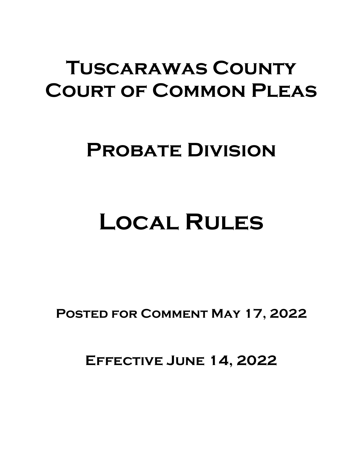## **Tuscarawas County Court of Common Pleas**

## **Probate Division**

# **Local Rules**

**Posted for Comment May 17, 2022**

**Effective June 14, 2022**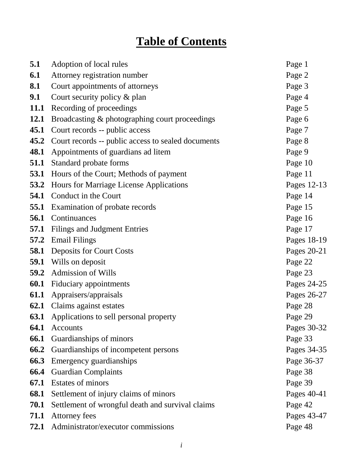### **Table of Contents**

| 5.1         | Adoption of local rules                            | Page 1      |
|-------------|----------------------------------------------------|-------------|
| 6.1         | Attorney registration number                       | Page 2      |
| 8.1         | Court appointments of attorneys                    | Page 3      |
| 9.1         | Court security policy & plan                       | Page 4      |
|             | 11.1 Recording of proceedings                      | Page 5      |
| <b>12.1</b> | Broadcasting & photographing court proceedings     | Page 6      |
| 45.1        | Court records -- public access                     | Page 7      |
| 45.2        | Court records -- public access to sealed documents | Page 8      |
| 48.1        | Appointments of guardians ad litem                 | Page 9      |
| 51.1        | Standard probate forms                             | Page 10     |
|             | <b>53.1</b> Hours of the Court; Methods of payment | Page 11     |
| 53.2        | Hours for Marriage License Applications            | Pages 12-13 |
|             | <b>54.1</b> Conduct in the Court                   | Page 14     |
| 55.1        | Examination of probate records                     | Page 15     |
|             | <b>56.1</b> Continuances                           | Page 16     |
|             | <b>57.1</b> Filings and Judgment Entries           | Page 17     |
|             | <b>57.2</b> Email Filings                          | Pages 18-19 |
|             | <b>58.1</b> Deposits for Court Costs               | Pages 20-21 |
|             | <b>59.1</b> Wills on deposit                       | Page 22     |
| 59.2        | <b>Admission of Wills</b>                          | Page 23     |
|             | <b>60.1</b> Fiduciary appointments                 | Pages 24-25 |
| 61.1        | Appraisers/appraisals                              | Pages 26-27 |
|             | <b>62.1</b> Claims against estates                 | Page 28     |
| <b>63.1</b> | Applications to sell personal property             | Page 29     |
| 64.1        | Accounts                                           | Pages 30-32 |
| 66.1        | Guardianships of minors                            | Page 33     |
| 66.2        | Guardianships of incompetent persons               | Pages 34-35 |
| 66.3        | Emergency guardianships                            | Page 36-37  |
| 66.4        | <b>Guardian Complaints</b>                         | Page 38     |
| 67.1        | Estates of minors                                  | Page 39     |
| 68.1        | Settlement of injury claims of minors              | Pages 40-41 |
| 70.1        | Settlement of wrongful death and survival claims   | Page 42     |
| 71.1        | <b>Attorney fees</b>                               | Pages 43-47 |
| 72.1        | Administrator/executor commissions                 | Page 48     |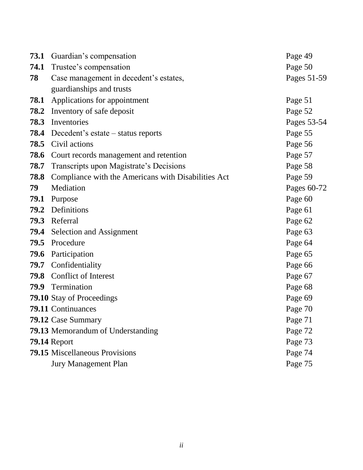|      | <b>73.1</b> Guardian's compensation                 | Page 49     |
|------|-----------------------------------------------------|-------------|
|      | <b>74.1</b> Trustee's compensation                  | Page 50     |
| 78   | Case management in decedent's estates,              | Pages 51-59 |
|      | guardianships and trusts                            |             |
| 78.1 | Applications for appointment                        | Page 51     |
|      | <b>78.2</b> Inventory of safe deposit               | Page 52     |
| 78.3 | Inventories                                         | Pages 53-54 |
|      | <b>78.4</b> Decedent's estate – status reports      | Page 55     |
|      | <b>78.5</b> Civil actions                           | Page 56     |
|      | <b>78.6</b> Court records management and retention  | Page 57     |
|      | 78.7 Transcripts upon Magistrate's Decisions        | Page 58     |
| 78.8 | Compliance with the Americans with Disabilities Act | Page 59     |
| 79   | Mediation                                           | Pages 60-72 |
|      | 79.1 Purpose                                        | Page 60     |
|      | 79.2 Definitions                                    | Page 61     |
|      | 79.3 Referral                                       | Page 62     |
|      | 79.4 Selection and Assignment                       | Page 63     |
| 79.5 | Procedure                                           | Page 64     |
| 79.6 | Participation                                       | Page 65     |
|      | 79.7 Confidentiality                                | Page 66     |
|      | <b>79.8</b> Conflict of Interest                    | Page 67     |
|      | 79.9 Termination                                    | Page 68     |
|      | <b>79.10</b> Stay of Proceedings                    | Page 69     |
|      | 79.11 Continuances                                  | Page 70     |
|      | 79.12 Case Summary                                  | Page 71     |
|      | <b>79.13</b> Memorandum of Understanding            | Page 72     |
|      | <b>79.14 Report</b>                                 | Page 73     |
|      | 79.15 Miscellaneous Provisions                      | Page 74     |
|      | <b>Jury Management Plan</b>                         | Page 75     |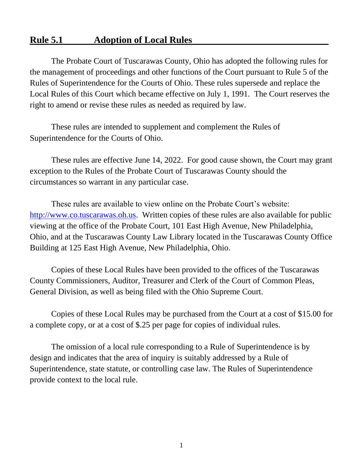#### **Rule 5.1 Adoption of Local Rules**

The Probate Court of Tuscarawas County, Ohio has adopted the following rules for the management of proceedings and other functions of the Court pursuant to Rule 5 of the Rules of Superintendence for the Courts of Ohio. These rules supersede and replace the Local Rules of this Court which became effective on July 1, 1991. The Court reserves the right to amend or revise these rules as needed as required by law.

These rules are intended to supplement and complement the Rules of Superintendence for the Courts of Ohio.

These rules are effective June 14, 2022. For good cause shown, the Court may grant exception to the Rules of the Probate Court of Tuscarawas County should the circumstances so warrant in any particular case.

These rules are available to view online on the Probate Court's website: [http://www.co.tuscarawas.oh.us.](http://www.co.tuscarawas.oh.us/) Written copies of these rules are also available for public viewing at the office of the Probate Court, 101 East High Avenue, New Philadelphia, Ohio, and at the Tuscarawas County Law Library located in the Tuscarawas County Office Building at 125 East High Avenue, New Philadelphia, Ohio.

Copies of these Local Rules have been provided to the offices of the Tuscarawas County Commissioners, Auditor, Treasurer and Clerk of the Court of Common Pleas, General Division, as well as being filed with the Ohio Supreme Court.

Copies of these Local Rules may be purchased from the Court at a cost of \$15.00 for a complete copy, or at a cost of \$.25 per page for copies of individual rules.

The omission of a local rule corresponding to a Rule of Superintendence is by design and indicates that the area of inquiry is suitably addressed by a Rule of Superintendence, state statute, or controlling case law. The Rules of Superintendence provide context to the local rule.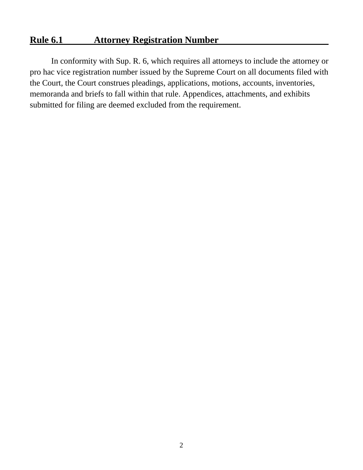#### **Rule 6.1 Attorney Registration Number**

In conformity with Sup. R. 6, which requires all attorneys to include the attorney or pro hac vice registration number issued by the Supreme Court on all documents filed with the Court, the Court construes pleadings, applications, motions, accounts, inventories, memoranda and briefs to fall within that rule. Appendices, attachments, and exhibits submitted for filing are deemed excluded from the requirement.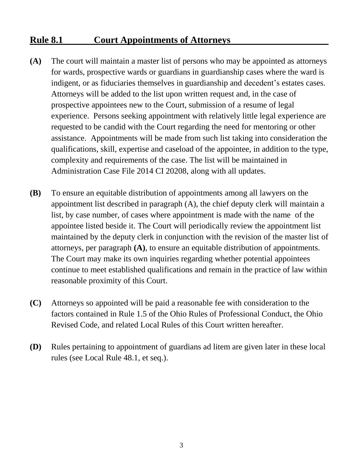#### **Rule 8.1 Court Appointments of Attorneys**

- **(A)** The court will maintain a master list of persons who may be appointed as attorneys for wards, prospective wards or guardians in guardianship cases where the ward is indigent, or as fiduciaries themselves in guardianship and decedent's estates cases. Attorneys will be added to the list upon written request and, in the case of prospective appointees new to the Court, submission of a resume of legal experience. Persons seeking appointment with relatively little legal experience are requested to be candid with the Court regarding the need for mentoring or other assistance. Appointments will be made from such list taking into consideration the qualifications, skill, expertise and caseload of the appointee, in addition to the type, complexity and requirements of the case. The list will be maintained in Administration Case File 2014 CI 20208, along with all updates.
- **(B)** To ensure an equitable distribution of appointments among all lawyers on the appointment list described in paragraph (A), the chief deputy clerk will maintain a list, by case number, of cases where appointment is made with the name of the appointee listed beside it. The Court will periodically review the appointment list maintained by the deputy clerk in conjunction with the revision of the master list of attorneys, per paragraph **(A)**, to ensure an equitable distribution of appointments. The Court may make its own inquiries regarding whether potential appointees continue to meet established qualifications and remain in the practice of law within reasonable proximity of this Court.
- **(C)** Attorneys so appointed will be paid a reasonable fee with consideration to the factors contained in Rule 1.5 of the Ohio Rules of Professional Conduct, the Ohio Revised Code, and related Local Rules of this Court written hereafter.
- **(D)** Rules pertaining to appointment of guardians ad litem are given later in these local rules (see Local Rule 48.1, et seq.).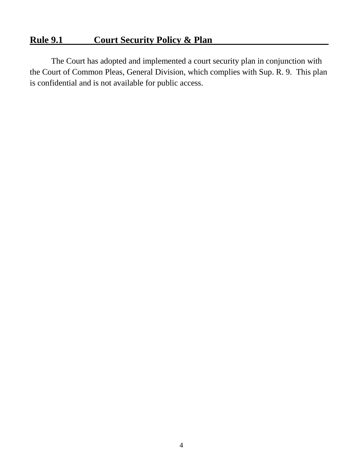#### **Rule 9.1 Court Security Policy & Plan**

The Court has adopted and implemented a court security plan in conjunction with the Court of Common Pleas, General Division, which complies with Sup. R. 9. This plan is confidential and is not available for public access.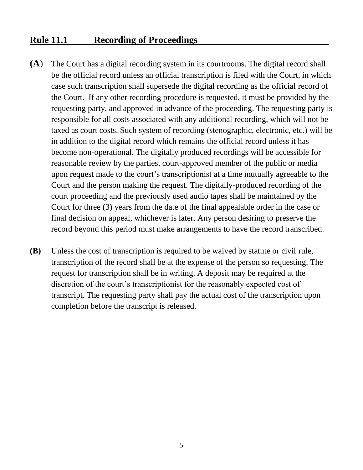#### **Rule 11.1 Recording of Proceedings**

- **(A**) The Court has a digital recording system in its courtrooms. The digital record shall be the official record unless an official transcription is filed with the Court, in which case such transcription shall supersede the digital recording as the official record of the Court. If any other recording procedure is requested, it must be provided by the requesting party, and approved in advance of the proceeding. The requesting party is responsible for all costs associated with any additional recording, which will not be taxed as court costs. Such system of recording (stenographic, electronic, etc.) will be in addition to the digital record which remains the official record unless it has become non-operational. The digitally produced recordings will be accessible for reasonable review by the parties, court-approved member of the public or media upon request made to the court's transcriptionist at a time mutually agreeable to the Court and the person making the request. The digitally-produced recording of the court proceeding and the previously used audio tapes shall be maintained by the Court for three (3) years from the date of the final appealable order in the case or final decision on appeal, whichever is later. Any person desiring to preserve the record beyond this period must make arrangements to have the record transcribed.
- **(B)** Unless the cost of transcription is required to be waived by statute or civil rule, transcription of the record shall be at the expense of the person so requesting. The request for transcription shall be in writing. A deposit may be required at the discretion of the court's transcriptionist for the reasonably expected cost of transcript. The requesting party shall pay the actual cost of the transcription upon completion before the transcript is released.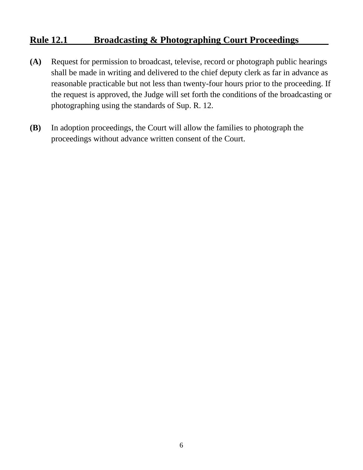#### **Rule 12.1 Broadcasting & Photographing Court Proceedings**

- **(A)** Request for permission to broadcast, televise, record or photograph public hearings shall be made in writing and delivered to the chief deputy clerk as far in advance as reasonable practicable but not less than twenty-four hours prior to the proceeding. If the request is approved, the Judge will set forth the conditions of the broadcasting or photographing using the standards of Sup. R. 12.
- **(B)** In adoption proceedings, the Court will allow the families to photograph the proceedings without advance written consent of the Court.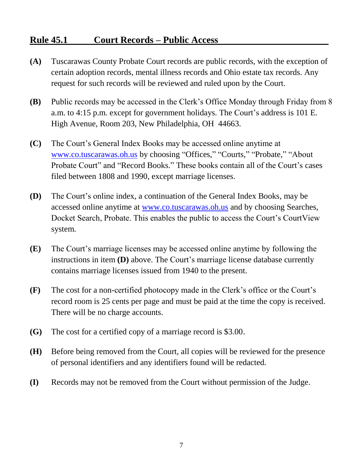#### **Rule 45.1 Court Records – Public Access**

- **(A)** Tuscarawas County Probate Court records are public records, with the exception of certain adoption records, mental illness records and Ohio estate tax records. Any request for such records will be reviewed and ruled upon by the Court.
- **(B)** Public records may be accessed in the Clerk's Office Monday through Friday from 8 a.m. to 4:15 p.m. except for government holidays. The Court's address is 101 E. High Avenue, Room 203, New Philadelphia, OH 44663.
- **(C)** The Court's General Index Books may be accessed online anytime at [www.co.tuscarawas.oh.us](http://www.co.tuscarawas.oh.us/) by choosing "Offices," "Courts," "Probate," "About Probate Court" and "Record Books." These books contain all of the Court's cases filed between 1808 and 1990, except marriage licenses.
- **(D)** The Court's online index, a continuation of the General Index Books, may be accessed online anytime at [www.co.tuscarawas.oh.us](http://www.co.tuscarawas.oh.us/) and by choosing Searches, Docket Search, Probate. This enables the public to access the Court's CourtView system.
- **(E)** The Court's marriage licenses may be accessed online anytime by following the instructions in item **(D)** above. The Court's marriage license database currently contains marriage licenses issued from 1940 to the present.
- **(F)** The cost for a non-certified photocopy made in the Clerk's office or the Court's record room is 25 cents per page and must be paid at the time the copy is received. There will be no charge accounts.
- **(G)** The cost for a certified copy of a marriage record is \$3.00.
- **(H)** Before being removed from the Court, all copies will be reviewed for the presence of personal identifiers and any identifiers found will be redacted.
- **(I)** Records may not be removed from the Court without permission of the Judge.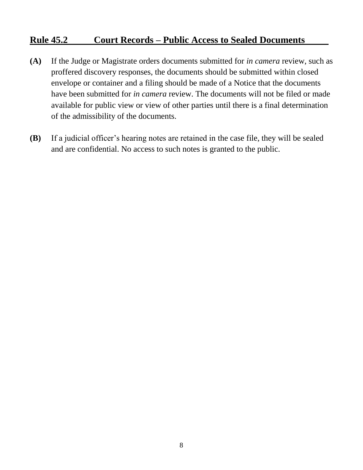#### **Rule 45.2 Court Records – Public Access to Sealed Documents**

- **(A)** If the Judge or Magistrate orders documents submitted for *in camera* review, such as proffered discovery responses, the documents should be submitted within closed envelope or container and a filing should be made of a Notice that the documents have been submitted for *in camera* review. The documents will not be filed or made available for public view or view of other parties until there is a final determination of the admissibility of the documents.
- **(B)** If a judicial officer's hearing notes are retained in the case file, they will be sealed and are confidential. No access to such notes is granted to the public.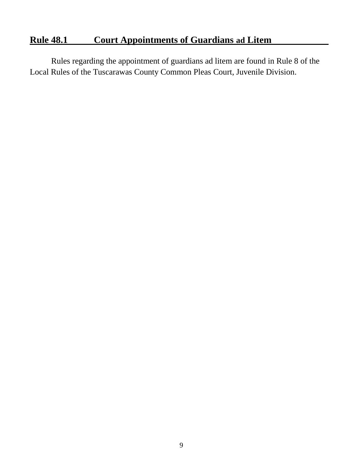#### **Rule 48.1 Court Appointments of Guardians ad Litem**

Rules regarding the appointment of guardians ad litem are found in Rule 8 of the Local Rules of the Tuscarawas County Common Pleas Court, Juvenile Division.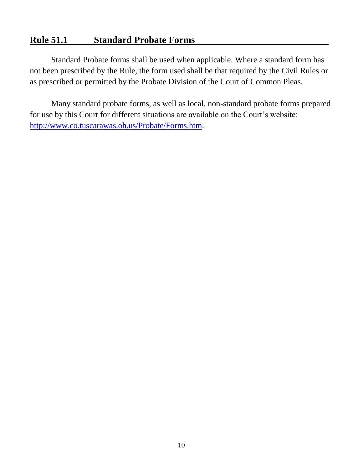#### **Rule 51.1 Standard Probate Forms**

Standard Probate forms shall be used when applicable. Where a standard form has not been prescribed by the Rule, the form used shall be that required by the Civil Rules or as prescribed or permitted by the Probate Division of the Court of Common Pleas.

Many standard probate forms, as well as local, non-standard probate forms prepared for use by this Court for different situations are available on the Court's website: [http://www.co.tuscarawas.oh.us/Probate/Forms.htm.](http://www.co.tuscarawas.oh.us/Probate/Forms.htm)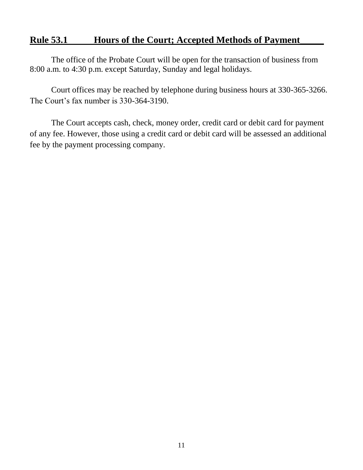#### **Rule 53.1 Hours of the Court; Accepted Methods of Payment\_\_\_\_\_**

The office of the Probate Court will be open for the transaction of business from 8:00 a.m. to 4:30 p.m. except Saturday, Sunday and legal holidays.

Court offices may be reached by telephone during business hours at 330-365-3266. The Court's fax number is 330-364-3190.

The Court accepts cash, check, money order, credit card or debit card for payment of any fee. However, those using a credit card or debit card will be assessed an additional fee by the payment processing company.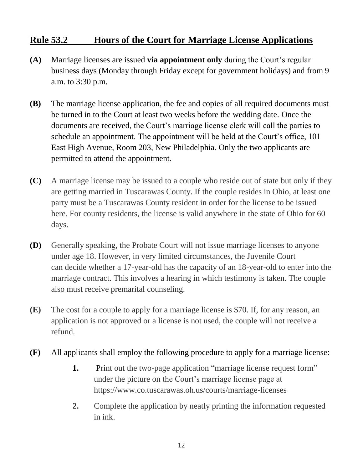#### **Rule 53.2 Hours of the Court for Marriage License Applications**

- **(A)** Marriage licenses are issued **via appointment only** during the Court's regular business days (Monday through Friday except for government holidays) and from 9 a.m. to 3:30 p.m.
- **(B)** The marriage license application, the fee and copies of all required documents must be turned in to the Court at least two weeks before the wedding date. Once the documents are received, the Court's marriage license clerk will call the parties to schedule an appointment. The appointment will be held at the Court's office, 101 East High Avenue, Room 203, New Philadelphia. Only the two applicants are permitted to attend the appointment.
- **(C)** A marriage license may be issued to a couple who reside out of state but only if they are getting married in Tuscarawas County. If the couple resides in Ohio, at least one party must be a Tuscarawas County resident in order for the license to be issued here. For county residents, the license is valid anywhere in the state of Ohio for 60 days.
- **(D)** Generally speaking, the Probate Court will not issue marriage licenses to anyone under age 18. However, in very limited circumstances, the Juvenile Court can decide whether a 17-year-old has the capacity of an 18-year-old to enter into the marriage contract. This involves a hearing in which testimony is taken. The couple also must receive premarital counseling.
- **(E)** The cost for a couple to apply for a marriage license is \$70. If, for any reason, an application is not approved or a license is not used, the couple will not receive a refund.
- **(F)** All applicants shall employ the following procedure to apply for a marriage license:
	- **1.** Print out the two-page application "marriage license request form" under the picture on the Court's marriage license page at https://www.co.tuscarawas.oh.us/courts/marriage-licenses
	- **2.** Complete the application by neatly printing the information requested in ink.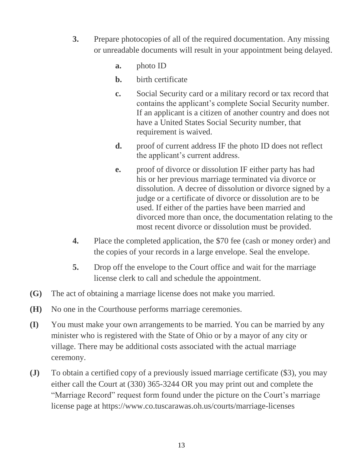- **3.** Prepare photocopies of all of the required documentation. Any missing or unreadable documents will result in your appointment being delayed.
	- **a.** photo ID
	- **b.** birth certificate
	- **c.** Social Security card or a military record or tax record that contains the applicant's complete Social Security number. If an applicant is a citizen of another country and does not have a United States Social Security number, that requirement is waived.
	- **d.** proof of current address IF the photo ID does not reflect the applicant's current address.
	- **e.** proof of divorce or dissolution IF either party has had his or her previous marriage terminated via divorce or dissolution. A decree of dissolution or divorce signed by a judge or a certificate of divorce or dissolution are to be used. If either of the parties have been married and divorced more than once, the documentation relating to the most recent divorce or dissolution must be provided.
- **4.** Place the completed application, the \$70 fee (cash or money order) and the copies of your records in a large envelope. Seal the envelope.
- **5.** Drop off the envelope to the Court office and wait for the marriage license clerk to call and schedule the appointment.
- **(G)** The act of obtaining a marriage license does not make you married.
- **(H)** No one in the Courthouse performs marriage ceremonies.
- **(I)** You must make your own arrangements to be married. You can be married by any minister who is registered with the State of Ohio or by a mayor of any city or village. There may be additional costs associated with the actual marriage ceremony.
- **(J)** To obtain a certified copy of a previously issued marriage certificate (\$3), you may either call the Court at (330) 365-3244 OR you may print out and complete the "Marriage Record" request form found under the picture on the Court's marriage license page at https://www.co.tuscarawas.oh.us/courts/marriage-licenses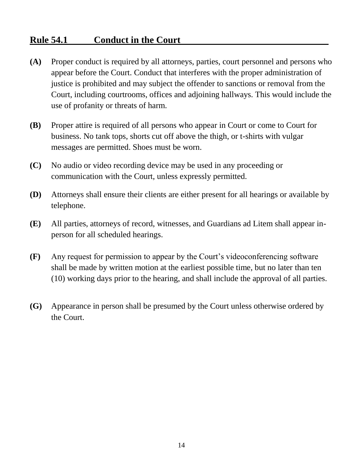#### **Rule 54.1 Conduct in the Court**

- **(A)** Proper conduct is required by all attorneys, parties, court personnel and persons who appear before the Court. Conduct that interferes with the proper administration of justice is prohibited and may subject the offender to sanctions or removal from the Court, including courtrooms, offices and adjoining hallways. This would include the use of profanity or threats of harm.
- **(B)** Proper attire is required of all persons who appear in Court or come to Court for business. No tank tops, shorts cut off above the thigh, or t-shirts with vulgar messages are permitted. Shoes must be worn.
- **(C)** No audio or video recording device may be used in any proceeding or communication with the Court, unless expressly permitted.
- **(D)** Attorneys shall ensure their clients are either present for all hearings or available by telephone.
- **(E)** All parties, attorneys of record, witnesses, and Guardians ad Litem shall appear inperson for all scheduled hearings.
- **(F)** Any request for permission to appear by the Court's videoconferencing software shall be made by written motion at the earliest possible time, but no later than ten (10) working days prior to the hearing, and shall include the approval of all parties.
- **(G)** Appearance in person shall be presumed by the Court unless otherwise ordered by the Court.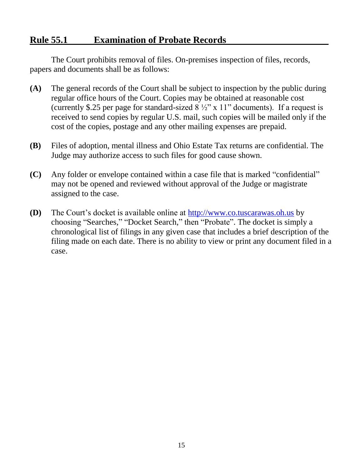#### **Rule 55.1 Examination of Probate Records**

The Court prohibits removal of files. On-premises inspection of files, records, papers and documents shall be as follows:

- **(A)** The general records of the Court shall be subject to inspection by the public during regular office hours of the Court. Copies may be obtained at reasonable cost (currently \$.25 per page for standard-sized  $8\frac{1}{2}$ " x 11" documents). If a request is received to send copies by regular U.S. mail, such copies will be mailed only if the cost of the copies, postage and any other mailing expenses are prepaid.
- **(B)** Files of adoption, mental illness and Ohio Estate Tax returns are confidential. The Judge may authorize access to such files for good cause shown.
- **(C)** Any folder or envelope contained within a case file that is marked "confidential" may not be opened and reviewed without approval of the Judge or magistrate assigned to the case.
- **(D)** The Court's docket is available online at [http://www.co.tuscarawas.oh.us](http://www.co.tuscarawas.oh.us/) by choosing "Searches," "Docket Search," then "Probate". The docket is simply a chronological list of filings in any given case that includes a brief description of the filing made on each date. There is no ability to view or print any document filed in a case.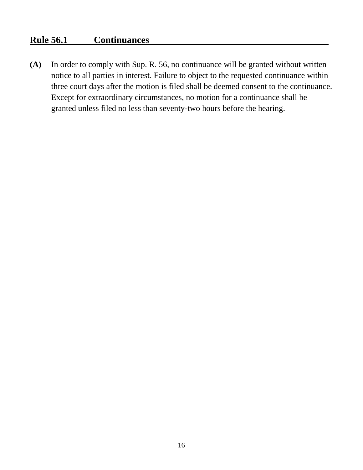#### **Rule 56.1 Continuances**

**(A)** In order to comply with Sup. R. 56, no continuance will be granted without written notice to all parties in interest. Failure to object to the requested continuance within three court days after the motion is filed shall be deemed consent to the continuance. Except for extraordinary circumstances, no motion for a continuance shall be granted unless filed no less than seventy-two hours before the hearing.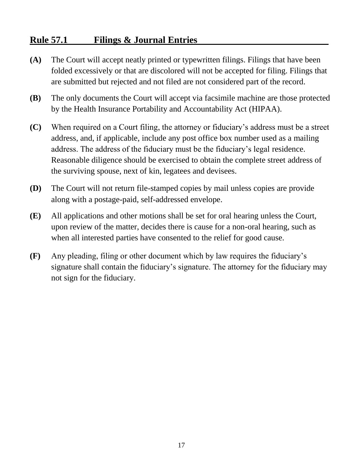#### **Rule 57.1 Filings & Journal Entries**

- **(A)** The Court will accept neatly printed or typewritten filings. Filings that have been folded excessively or that are discolored will not be accepted for filing. Filings that are submitted but rejected and not filed are not considered part of the record.
- **(B)** The only documents the Court will accept via facsimile machine are those protected by the Health Insurance Portability and Accountability Act (HIPAA).
- **(C)** When required on a Court filing, the attorney or fiduciary's address must be a street address, and, if applicable, include any post office box number used as a mailing address. The address of the fiduciary must be the fiduciary's legal residence. Reasonable diligence should be exercised to obtain the complete street address of the surviving spouse, next of kin, legatees and devisees.
- **(D)** The Court will not return file-stamped copies by mail unless copies are provide along with a postage-paid, self-addressed envelope.
- **(E)** All applications and other motions shall be set for oral hearing unless the Court, upon review of the matter, decides there is cause for a non-oral hearing, such as when all interested parties have consented to the relief for good cause.
- **(F)** Any pleading, filing or other document which by law requires the fiduciary's signature shall contain the fiduciary's signature. The attorney for the fiduciary may not sign for the fiduciary.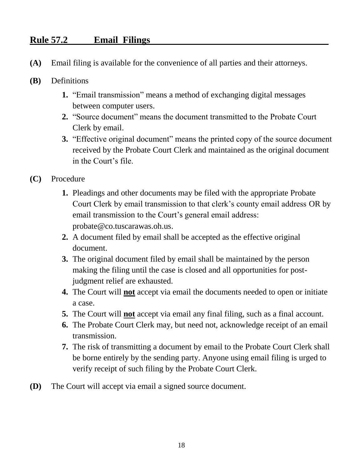#### **Rule 57.2 Email Filings**

- **(A)** Email filing is available for the convenience of all parties and their attorneys.
- **(B)** Definitions
	- **1.** "Email transmission" means a method of exchanging digital messages between computer users.
	- **2.** "Source document" means the document transmitted to the Probate Court Clerk by email.
	- **3.** "Effective original document" means the printed copy of the source document received by the Probate Court Clerk and maintained as the original document in the Court's file.
- **(C)** Procedure
	- **1.** Pleadings and other documents may be filed with the appropriate Probate Court Clerk by email transmission to that clerk's county email address OR by email transmission to the Court's general email address: probate@co.tuscarawas.oh.us.
	- **2.** A document filed by email shall be accepted as the effective original document.
	- **3.** The original document filed by email shall be maintained by the person making the filing until the case is closed and all opportunities for postjudgment relief are exhausted.
	- **4.** The Court will **not** accept via email the documents needed to open or initiate a case.
	- **5.** The Court will **not** accept via email any final filing, such as a final account.
	- **6.** The Probate Court Clerk may, but need not, acknowledge receipt of an email transmission.
	- **7.** The risk of transmitting a document by email to the Probate Court Clerk shall be borne entirely by the sending party. Anyone using email filing is urged to verify receipt of such filing by the Probate Court Clerk.
- **(D)** The Court will accept via email a signed source document.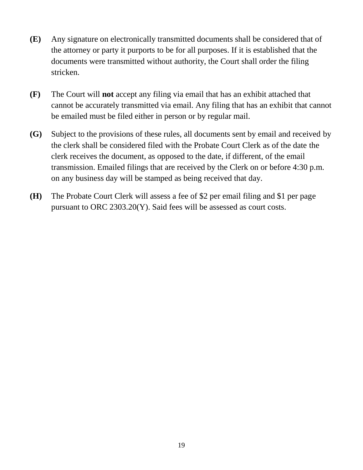- **(E)** Any signature on electronically transmitted documents shall be considered that of the attorney or party it purports to be for all purposes. If it is established that the documents were transmitted without authority, the Court shall order the filing stricken.
- **(F)** The Court will **not** accept any filing via email that has an exhibit attached that cannot be accurately transmitted via email. Any filing that has an exhibit that cannot be emailed must be filed either in person or by regular mail.
- **(G)** Subject to the provisions of these rules, all documents sent by email and received by the clerk shall be considered filed with the Probate Court Clerk as of the date the clerk receives the document, as opposed to the date, if different, of the email transmission. Emailed filings that are received by the Clerk on or before 4:30 p.m. on any business day will be stamped as being received that day.
- **(H)** The Probate Court Clerk will assess a fee of \$2 per email filing and \$1 per page pursuant to ORC 2303.20(Y). Said fees will be assessed as court costs.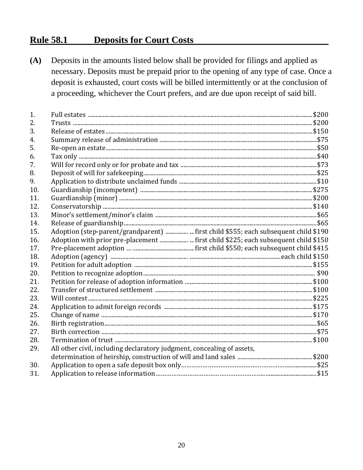#### **Rule 58.1 Deposits for Court Costs**

| (A) | Deposits in the amounts listed below shall be provided for filings and applied as<br>necessary. Deposits must be prepaid prior to the opening of any type of case. Once a<br>deposit is exhausted, court costs will be billed intermittently or at the conclusion of |  |  |
|-----|----------------------------------------------------------------------------------------------------------------------------------------------------------------------------------------------------------------------------------------------------------------------|--|--|
|     |                                                                                                                                                                                                                                                                      |  |  |
|     |                                                                                                                                                                                                                                                                      |  |  |
|     |                                                                                                                                                                                                                                                                      |  |  |
|     | a proceeding, whichever the Court prefers, and are due upon receipt of said bill.                                                                                                                                                                                    |  |  |
|     |                                                                                                                                                                                                                                                                      |  |  |
| 1.  |                                                                                                                                                                                                                                                                      |  |  |
| 2.  |                                                                                                                                                                                                                                                                      |  |  |
| 3.  |                                                                                                                                                                                                                                                                      |  |  |
| 4.  |                                                                                                                                                                                                                                                                      |  |  |
| 5.  |                                                                                                                                                                                                                                                                      |  |  |
| 6.  |                                                                                                                                                                                                                                                                      |  |  |
| 7.  |                                                                                                                                                                                                                                                                      |  |  |
| 8.  |                                                                                                                                                                                                                                                                      |  |  |
| 9.  |                                                                                                                                                                                                                                                                      |  |  |
| 10. |                                                                                                                                                                                                                                                                      |  |  |
| 11. |                                                                                                                                                                                                                                                                      |  |  |
| 12. |                                                                                                                                                                                                                                                                      |  |  |
| 13. |                                                                                                                                                                                                                                                                      |  |  |
| 14. |                                                                                                                                                                                                                                                                      |  |  |
| 15. | Adoption (step-parent/grandparent)  first child \$555; each subsequent child \$190                                                                                                                                                                                   |  |  |
| 16. | Adoption with prior pre-placement  first child \$225; each subsequent child \$150                                                                                                                                                                                    |  |  |
| 17. |                                                                                                                                                                                                                                                                      |  |  |
| 18. |                                                                                                                                                                                                                                                                      |  |  |
| 19. |                                                                                                                                                                                                                                                                      |  |  |
| 20. |                                                                                                                                                                                                                                                                      |  |  |
| 21. |                                                                                                                                                                                                                                                                      |  |  |
| 22. |                                                                                                                                                                                                                                                                      |  |  |
| 23. |                                                                                                                                                                                                                                                                      |  |  |
| 24. |                                                                                                                                                                                                                                                                      |  |  |
| 25. |                                                                                                                                                                                                                                                                      |  |  |
| 26. |                                                                                                                                                                                                                                                                      |  |  |
| 27. |                                                                                                                                                                                                                                                                      |  |  |
| 28. |                                                                                                                                                                                                                                                                      |  |  |
| 29. | All other civil, including declaratory judgment, concealing of assets,                                                                                                                                                                                               |  |  |
|     |                                                                                                                                                                                                                                                                      |  |  |
| 30. |                                                                                                                                                                                                                                                                      |  |  |
| 31. |                                                                                                                                                                                                                                                                      |  |  |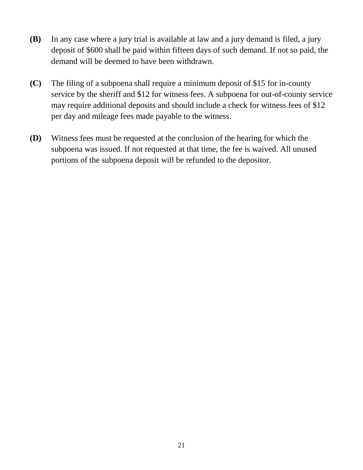- **(B)** In any case where a jury trial is available at law and a jury demand is filed, a jury deposit of \$600 shall be paid within fifteen days of such demand. If not so paid, the demand will be deemed to have been withdrawn.
- **(C)** The filing of a subpoena shall require a minimum deposit of \$15 for in-county service by the sheriff and \$12 for witness fees. A subpoena for out-of-county service may require additional deposits and should include a check for witness fees of \$12 per day and mileage fees made payable to the witness.
- **(D)** Witness fees must be requested at the conclusion of the hearing for which the subpoena was issued. If not requested at that time, the fee is waived. All unused portions of the subpoena deposit will be refunded to the depositor.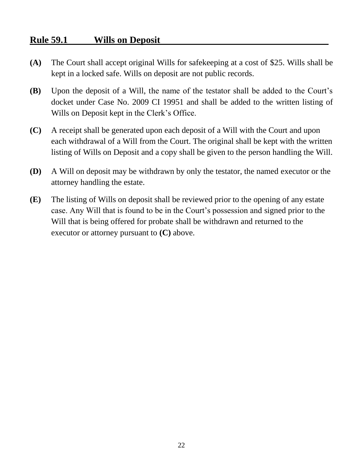#### **Rule 59.1 Wills on Deposit**

- **(A)** The Court shall accept original Wills for safekeeping at a cost of \$25. Wills shall be kept in a locked safe. Wills on deposit are not public records.
- **(B)** Upon the deposit of a Will, the name of the testator shall be added to the Court's docket under Case No. 2009 CI 19951 and shall be added to the written listing of Wills on Deposit kept in the Clerk's Office.
- **(C)** A receipt shall be generated upon each deposit of a Will with the Court and upon each withdrawal of a Will from the Court. The original shall be kept with the written listing of Wills on Deposit and a copy shall be given to the person handling the Will.
- **(D)** A Will on deposit may be withdrawn by only the testator, the named executor or the attorney handling the estate.
- **(E)** The listing of Wills on deposit shall be reviewed prior to the opening of any estate case. Any Will that is found to be in the Court's possession and signed prior to the Will that is being offered for probate shall be withdrawn and returned to the executor or attorney pursuant to **(C)** above.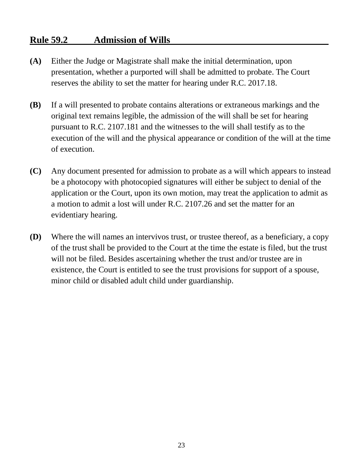#### **Rule 59.2 Admission of Wills**

- **(A)** Either the Judge or Magistrate shall make the initial determination, upon presentation, whether a purported will shall be admitted to probate. The Court reserves the ability to set the matter for hearing under R.C. 2017.18.
- **(B)** If a will presented to probate contains alterations or extraneous markings and the original text remains legible, the admission of the will shall be set for hearing pursuant to R.C. 2107.181 and the witnesses to the will shall testify as to the execution of the will and the physical appearance or condition of the will at the time of execution.
- **(C)** Any document presented for admission to probate as a will which appears to instead be a photocopy with photocopied signatures will either be subject to denial of the application or the Court, upon its own motion, may treat the application to admit as a motion to admit a lost will under R.C. 2107.26 and set the matter for an evidentiary hearing.
- **(D)** Where the will names an intervivos trust, or trustee thereof, as a beneficiary, a copy of the trust shall be provided to the Court at the time the estate is filed, but the trust will not be filed. Besides ascertaining whether the trust and/or trustee are in existence, the Court is entitled to see the trust provisions for support of a spouse, minor child or disabled adult child under guardianship.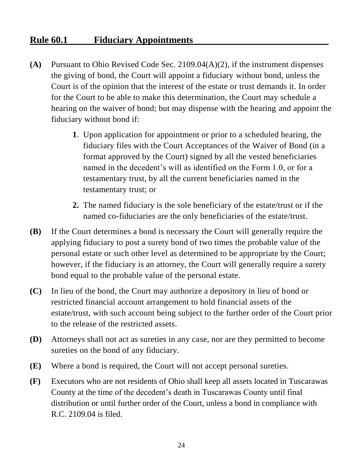#### **Rule 60.1 Fiduciary Appointments**

- **(A)** Pursuant to Ohio Revised Code Sec. 2109.04(A)(2), if the instrument dispenses the giving of bond, the Court will appoint a fiduciary without bond, unless the Court is of the opinion that the interest of the estate or trust demands it. In order for the Court to be able to make this determination, the Court may schedule a hearing on the waiver of bond; but may dispense with the hearing and appoint the fiduciary without bond if:
	- **1**. Upon application for appointment or prior to a scheduled hearing, the fiduciary files with the Court Acceptances of the Waiver of Bond (in a format approved by the Court) signed by all the vested beneficiaries named in the decedent's will as identified on the Form 1.0, or for a testamentary trust, by all the current beneficiaries named in the testamentary trust; or
	- **2.** The named fiduciary is the sole beneficiary of the estate/trust or if the named co-fiduciaries are the only beneficiaries of the estate/trust.
- **(B)** If the Court determines a bond is necessary the Court will generally require the applying fiduciary to post a surety bond of two times the probable value of the personal estate or such other level as determined to be appropriate by the Court; however, if the fiduciary is an attorney, the Court will generally require a surety bond equal to the probable value of the personal estate.
- **(C)** In lieu of the bond, the Court may authorize a depository in lieu of bond or restricted financial account arrangement to hold financial assets of the estate/trust, with such account being subject to the further order of the Court prior to the release of the restricted assets.
- **(D)** Attorneys shall not act as sureties in any case, nor are they permitted to become sureties on the bond of any fiduciary.
- **(E)** Where a bond is required, the Court will not accept personal sureties.
- **(F)** Executors who are not residents of Ohio shall keep all assets located in Tuscarawas County at the time of the decedent's death in Tuscarawas County until final distribution or until further order of the Court, unless a bond in compliance with R.C. 2109.04 is filed.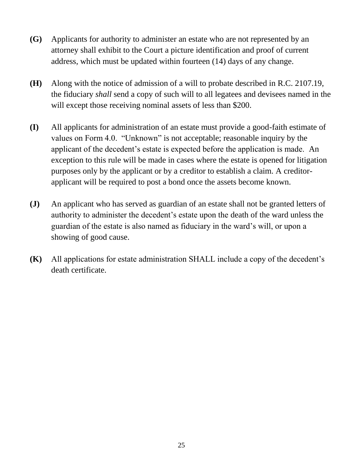- **(G)** Applicants for authority to administer an estate who are not represented by an attorney shall exhibit to the Court a picture identification and proof of current address, which must be updated within fourteen (14) days of any change.
- **(H)** Along with the notice of admission of a will to probate described in R.C. 2107.19, the fiduciary *shall* send a copy of such will to all legatees and devisees named in the will except those receiving nominal assets of less than \$200.
- **(I)** All applicants for administration of an estate must provide a good-faith estimate of values on Form 4.0. "Unknown" is not acceptable; reasonable inquiry by the applicant of the decedent's estate is expected before the application is made. An exception to this rule will be made in cases where the estate is opened for litigation purposes only by the applicant or by a creditor to establish a claim. A creditorapplicant will be required to post a bond once the assets become known.
- **(J)** An applicant who has served as guardian of an estate shall not be granted letters of authority to administer the decedent's estate upon the death of the ward unless the guardian of the estate is also named as fiduciary in the ward's will, or upon a showing of good cause.
- **(K)** All applications for estate administration SHALL include a copy of the decedent's death certificate.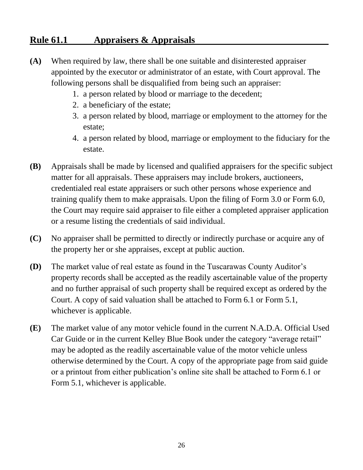#### **Rule 61.1 Appraisers & Appraisals**

- **(A)** When required by law, there shall be one suitable and disinterested appraiser appointed by the executor or administrator of an estate, with Court approval. The following persons shall be disqualified from being such an appraiser:
	- 1. a person related by blood or marriage to the decedent;
	- 2. a beneficiary of the estate;
	- 3. a person related by blood, marriage or employment to the attorney for the estate;
	- 4. a person related by blood, marriage or employment to the fiduciary for the estate.
- **(B)** Appraisals shall be made by licensed and qualified appraisers for the specific subject matter for all appraisals. These appraisers may include brokers, auctioneers, credentialed real estate appraisers or such other persons whose experience and training qualify them to make appraisals. Upon the filing of Form 3.0 or Form 6.0, the Court may require said appraiser to file either a completed appraiser application or a resume listing the credentials of said individual.
- **(C)** No appraiser shall be permitted to directly or indirectly purchase or acquire any of the property her or she appraises, except at public auction.
- **(D)** The market value of real estate as found in the Tuscarawas County Auditor's property records shall be accepted as the readily ascertainable value of the property and no further appraisal of such property shall be required except as ordered by the Court. A copy of said valuation shall be attached to Form 6.1 or Form 5.1, whichever is applicable.
- **(E)** The market value of any motor vehicle found in the current N.A.D.A. Official Used Car Guide or in the current Kelley Blue Book under the category "average retail" may be adopted as the readily ascertainable value of the motor vehicle unless otherwise determined by the Court. A copy of the appropriate page from said guide or a printout from either publication's online site shall be attached to Form 6.1 or Form 5.1, whichever is applicable.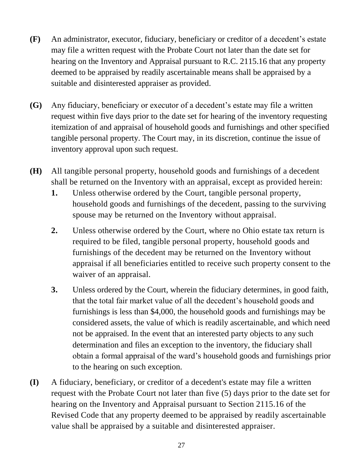- **(F)** An administrator, executor, fiduciary, beneficiary or creditor of a decedent's estate may file a written request with the Probate Court not later than the date set for hearing on the Inventory and Appraisal pursuant to R.C. 2115.16 that any property deemed to be appraised by readily ascertainable means shall be appraised by a suitable and disinterested appraiser as provided.
- **(G)** Any fiduciary, beneficiary or executor of a decedent's estate may file a written request within five days prior to the date set for hearing of the inventory requesting itemization of and appraisal of household goods and furnishings and other specified tangible personal property. The Court may, in its discretion, continue the issue of inventory approval upon such request.
- **(H)** All tangible personal property, household goods and furnishings of a decedent shall be returned on the Inventory with an appraisal, except as provided herein:
	- **1.** Unless otherwise ordered by the Court, tangible personal property, household goods and furnishings of the decedent, passing to the surviving spouse may be returned on the Inventory without appraisal.
	- **2.** Unless otherwise ordered by the Court, where no Ohio estate tax return is required to be filed, tangible personal property, household goods and furnishings of the decedent may be returned on the Inventory without appraisal if all beneficiaries entitled to receive such property consent to the waiver of an appraisal.
	- **3.** Unless ordered by the Court, wherein the fiduciary determines, in good faith, that the total fair market value of all the decedent's household goods and furnishings is less than \$4,000, the household goods and furnishings may be considered assets, the value of which is readily ascertainable, and which need not be appraised. In the event that an interested party objects to any such determination and files an exception to the inventory, the fiduciary shall obtain a formal appraisal of the ward's household goods and furnishings prior to the hearing on such exception.
- **(I)** A fiduciary, beneficiary, or creditor of a decedent's estate may file a written request with the Probate Court not later than five (5) days prior to the date set for hearing on the Inventory and Appraisal pursuant to Section 2115.16 of the Revised Code that any property deemed to be appraised by readily ascertainable value shall be appraised by a suitable and disinterested appraiser.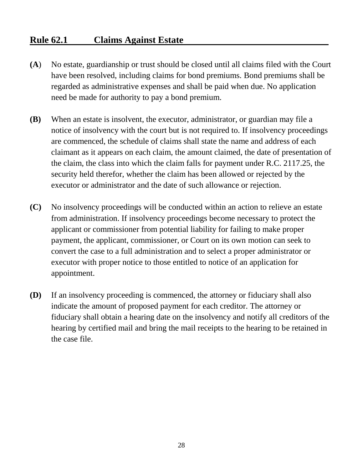#### **Rule 62.1 Claims Against Estate**

- **(A**) No estate, guardianship or trust should be closed until all claims filed with the Court have been resolved, including claims for bond premiums. Bond premiums shall be regarded as administrative expenses and shall be paid when due. No application need be made for authority to pay a bond premium.
- **(B)** When an estate is insolvent, the executor, administrator, or guardian may file a notice of insolvency with the court but is not required to. If insolvency proceedings are commenced, the schedule of claims shall state the name and address of each claimant as it appears on each claim, the amount claimed, the date of presentation of the claim, the class into which the claim falls for payment under R.C. 2117.25, the security held therefor, whether the claim has been allowed or rejected by the executor or administrator and the date of such allowance or rejection.
- **(C)** No insolvency proceedings will be conducted within an action to relieve an estate from administration. If insolvency proceedings become necessary to protect the applicant or commissioner from potential liability for failing to make proper payment, the applicant, commissioner, or Court on its own motion can seek to convert the case to a full administration and to select a proper administrator or executor with proper notice to those entitled to notice of an application for appointment.
- **(D)** If an insolvency proceeding is commenced, the attorney or fiduciary shall also indicate the amount of proposed payment for each creditor. The attorney or fiduciary shall obtain a hearing date on the insolvency and notify all creditors of the hearing by certified mail and bring the mail receipts to the hearing to be retained in the case file.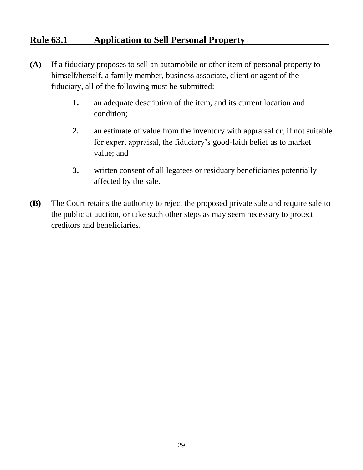#### **Rule 63.1 Application to Sell Personal Property**

- **(A)** If a fiduciary proposes to sell an automobile or other item of personal property to himself/herself, a family member, business associate, client or agent of the fiduciary, all of the following must be submitted:
	- **1.** an adequate description of the item, and its current location and condition;
	- **2.** an estimate of value from the inventory with appraisal or, if not suitable for expert appraisal, the fiduciary's good-faith belief as to market value; and
	- **3.** written consent of all legatees or residuary beneficiaries potentially affected by the sale.
- **(B)** The Court retains the authority to reject the proposed private sale and require sale to the public at auction, or take such other steps as may seem necessary to protect creditors and beneficiaries.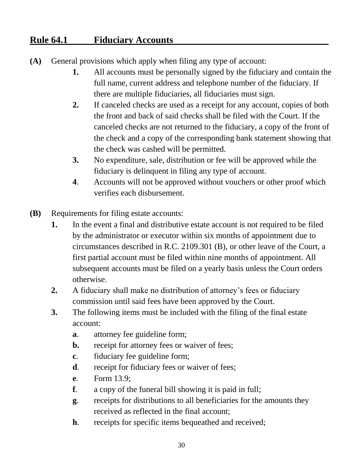#### **Rule 64.1 Fiduciary Accounts**

- **(A)** General provisions which apply when filing any type of account:
	- **1.** All accounts must be personally signed by the fiduciary and contain the full name, current address and telephone number of the fiduciary. If there are multiple fiduciaries, all fiduciaries must sign.
	- **2.** If canceled checks are used as a receipt for any account, copies of both the front and back of said checks shall be filed with the Court. If the canceled checks are not returned to the fiduciary, a copy of the front of the check and a copy of the corresponding bank statement showing that the check was cashed will be permitted.
	- **3.** No expenditure, sale, distribution or fee will be approved while the fiduciary is delinquent in filing any type of account.
	- **4**. Accounts will not be approved without vouchers or other proof which verifies each disbursement.
- **(B)** Requirements for filing estate accounts:
	- **1.** In the event a final and distributive estate account is not required to be filed by the administrator or executor within six months of appointment due to circumstances described in R.C. 2109.301 (B), or other leave of the Court, a first partial account must be filed within nine months of appointment. All subsequent accounts must be filed on a yearly basis unless the Court orders otherwise.
	- **2.** A fiduciary shall make no distribution of attorney's fees or fiduciary commission until said fees have been approved by the Court.
	- **3.** The following items must be included with the filing of the final estate account:
		- **a**. attorney fee guideline form;
		- **b.** receipt for attorney fees or waiver of fees;
		- **c**. fiduciary fee guideline form;
		- **d**. receipt for fiduciary fees or waiver of fees;
		- **e**. Form 13.9;
		- **f**. a copy of the funeral bill showing it is paid in full;
		- **g**. receipts for distributions to all beneficiaries for the amounts they received as reflected in the final account;
		- **h**. receipts for specific items bequeathed and received;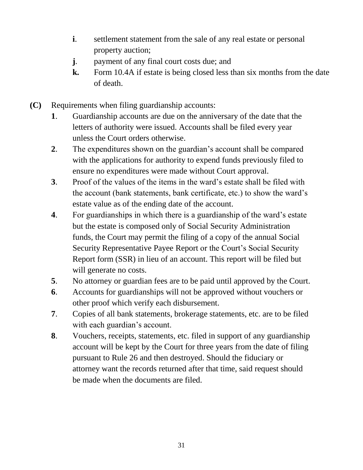- **i**. settlement statement from the sale of any real estate or personal property auction;
- **j**. payment of any final court costs due; and
- **k.** Form 10.4A if estate is being closed less than six months from the date of death.
- **(C)** Requirements when filing guardianship accounts:
	- **1**. Guardianship accounts are due on the anniversary of the date that the letters of authority were issued. Accounts shall be filed every year unless the Court orders otherwise.
	- **2**. The expenditures shown on the guardian's account shall be compared with the applications for authority to expend funds previously filed to ensure no expenditures were made without Court approval.
	- **3**. Proof of the values of the items in the ward's estate shall be filed with the account (bank statements, bank certificate, etc.) to show the ward's estate value as of the ending date of the account.
	- **4**. For guardianships in which there is a guardianship of the ward's estate but the estate is composed only of Social Security Administration funds, the Court may permit the filing of a copy of the annual Social Security Representative Payee Report or the Court's Social Security Report form (SSR) in lieu of an account. This report will be filed but will generate no costs.
	- **5**. No attorney or guardian fees are to be paid until approved by the Court.
	- **6**. Accounts for guardianships will not be approved without vouchers or other proof which verify each disbursement.
	- **7**. Copies of all bank statements, brokerage statements, etc. are to be filed with each guardian's account.
	- **8**. Vouchers, receipts, statements, etc. filed in support of any guardianship account will be kept by the Court for three years from the date of filing pursuant to Rule 26 and then destroyed. Should the fiduciary or attorney want the records returned after that time, said request should be made when the documents are filed.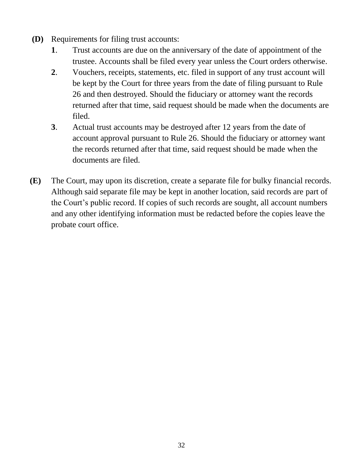- **(D)** Requirements for filing trust accounts:
	- **1**. Trust accounts are due on the anniversary of the date of appointment of the trustee. Accounts shall be filed every year unless the Court orders otherwise.
	- **2**. Vouchers, receipts, statements, etc. filed in support of any trust account will be kept by the Court for three years from the date of filing pursuant to Rule 26 and then destroyed. Should the fiduciary or attorney want the records returned after that time, said request should be made when the documents are filed.
	- **3**. Actual trust accounts may be destroyed after 12 years from the date of account approval pursuant to Rule 26. Should the fiduciary or attorney want the records returned after that time, said request should be made when the documents are filed.
- **(E)** The Court, may upon its discretion, create a separate file for bulky financial records. Although said separate file may be kept in another location, said records are part of the Court's public record. If copies of such records are sought, all account numbers and any other identifying information must be redacted before the copies leave the probate court office.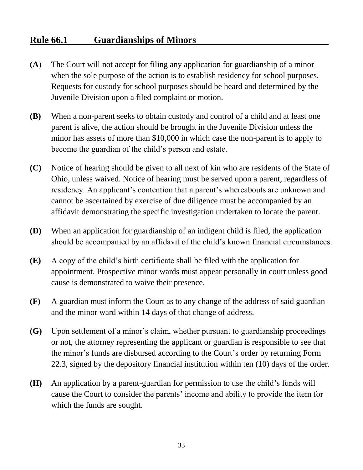#### **Rule 66.1 Guardianships of Minors**

- **(A**) The Court will not accept for filing any application for guardianship of a minor when the sole purpose of the action is to establish residency for school purposes. Requests for custody for school purposes should be heard and determined by the Juvenile Division upon a filed complaint or motion.
- **(B)** When a non-parent seeks to obtain custody and control of a child and at least one parent is alive, the action should be brought in the Juvenile Division unless the minor has assets of more than \$10,000 in which case the non-parent is to apply to become the guardian of the child's person and estate.
- **(C)** Notice of hearing should be given to all next of kin who are residents of the State of Ohio, unless waived. Notice of hearing must be served upon a parent, regardless of residency. An applicant's contention that a parent's whereabouts are unknown and cannot be ascertained by exercise of due diligence must be accompanied by an affidavit demonstrating the specific investigation undertaken to locate the parent.
- **(D)** When an application for guardianship of an indigent child is filed, the application should be accompanied by an affidavit of the child's known financial circumstances.
- **(E)** A copy of the child's birth certificate shall be filed with the application for appointment. Prospective minor wards must appear personally in court unless good cause is demonstrated to waive their presence.
- **(F)** A guardian must inform the Court as to any change of the address of said guardian and the minor ward within 14 days of that change of address.
- **(G)** Upon settlement of a minor's claim, whether pursuant to guardianship proceedings or not, the attorney representing the applicant or guardian is responsible to see that the minor's funds are disbursed according to the Court's order by returning Form 22.3, signed by the depository financial institution within ten (10) days of the order.
- **(H)** An application by a parent-guardian for permission to use the child's funds will cause the Court to consider the parents' income and ability to provide the item for which the funds are sought.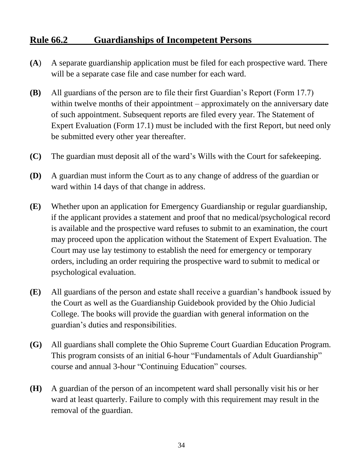# **Rule 66.2 Guardianships of Incompetent Persons**

- **(A**) A separate guardianship application must be filed for each prospective ward. There will be a separate case file and case number for each ward.
- **(B)** All guardians of the person are to file their first Guardian's Report (Form 17.7) within twelve months of their appointment – approximately on the anniversary date of such appointment. Subsequent reports are filed every year. The Statement of Expert Evaluation (Form 17.1) must be included with the first Report, but need only be submitted every other year thereafter.
- **(C)** The guardian must deposit all of the ward's Wills with the Court for safekeeping.
- **(D)** A guardian must inform the Court as to any change of address of the guardian or ward within 14 days of that change in address.
- **(E)** Whether upon an application for Emergency Guardianship or regular guardianship, if the applicant provides a statement and proof that no medical/psychological record is available and the prospective ward refuses to submit to an examination, the court may proceed upon the application without the Statement of Expert Evaluation. The Court may use lay testimony to establish the need for emergency or temporary orders, including an order requiring the prospective ward to submit to medical or psychological evaluation.
- **(E)** All guardians of the person and estate shall receive a guardian's handbook issued by the Court as well as the Guardianship Guidebook provided by the Ohio Judicial College. The books will provide the guardian with general information on the guardian's duties and responsibilities.
- **(G)** All guardians shall complete the Ohio Supreme Court Guardian Education Program. This program consists of an initial 6-hour "Fundamentals of Adult Guardianship" course and annual 3-hour "Continuing Education" courses.
- **(H)** A guardian of the person of an incompetent ward shall personally visit his or her ward at least quarterly. Failure to comply with this requirement may result in the removal of the guardian.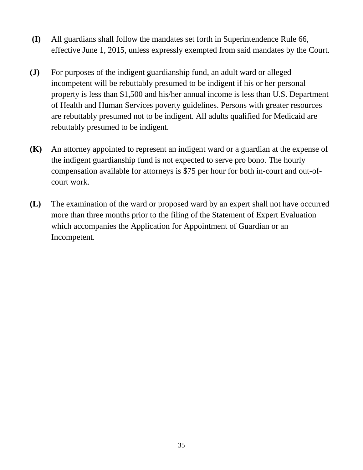- **(I)** All guardians shall follow the mandates set forth in Superintendence Rule 66, effective June 1, 2015, unless expressly exempted from said mandates by the Court.
- **(J)** For purposes of the indigent guardianship fund, an adult ward or alleged incompetent will be rebuttably presumed to be indigent if his or her personal property is less than \$1,500 and his/her annual income is less than U.S. Department of Health and Human Services poverty guidelines. Persons with greater resources are rebuttably presumed not to be indigent. All adults qualified for Medicaid are rebuttably presumed to be indigent.
- **(K)** An attorney appointed to represent an indigent ward or a guardian at the expense of the indigent guardianship fund is not expected to serve pro bono. The hourly compensation available for attorneys is \$75 per hour for both in-court and out-ofcourt work.
- **(L)** The examination of the ward or proposed ward by an expert shall not have occurred more than three months prior to the filing of the Statement of Expert Evaluation which accompanies the Application for Appointment of Guardian or an Incompetent.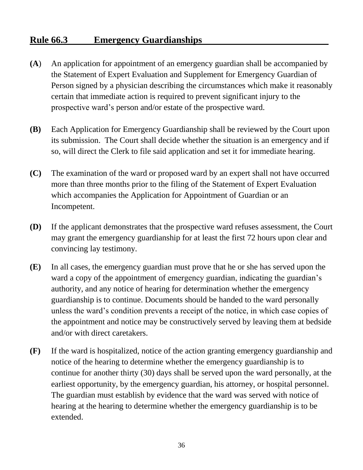# **Rule 66.3 Emergency Guardianships**

- **(A**) An application for appointment of an emergency guardian shall be accompanied by the Statement of Expert Evaluation and Supplement for Emergency Guardian of Person signed by a physician describing the circumstances which make it reasonably certain that immediate action is required to prevent significant injury to the prospective ward's person and/or estate of the prospective ward.
- **(B)** Each Application for Emergency Guardianship shall be reviewed by the Court upon its submission. The Court shall decide whether the situation is an emergency and if so, will direct the Clerk to file said application and set it for immediate hearing.
- **(C)** The examination of the ward or proposed ward by an expert shall not have occurred more than three months prior to the filing of the Statement of Expert Evaluation which accompanies the Application for Appointment of Guardian or an Incompetent.
- **(D)** If the applicant demonstrates that the prospective ward refuses assessment, the Court may grant the emergency guardianship for at least the first 72 hours upon clear and convincing lay testimony.
- **(E)** In all cases, the emergency guardian must prove that he or she has served upon the ward a copy of the appointment of emergency guardian, indicating the guardian's authority, and any notice of hearing for determination whether the emergency guardianship is to continue. Documents should be handed to the ward personally unless the ward's condition prevents a receipt of the notice, in which case copies of the appointment and notice may be constructively served by leaving them at bedside and/or with direct caretakers.
- **(F)** If the ward is hospitalized, notice of the action granting emergency guardianship and notice of the hearing to determine whether the emergency guardianship is to continue for another thirty (30) days shall be served upon the ward personally, at the earliest opportunity, by the emergency guardian, his attorney, or hospital personnel. The guardian must establish by evidence that the ward was served with notice of hearing at the hearing to determine whether the emergency guardianship is to be extended.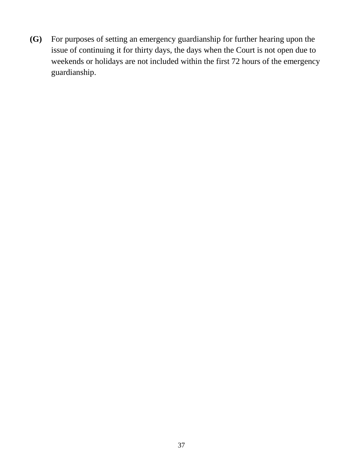**(G)** For purposes of setting an emergency guardianship for further hearing upon the issue of continuing it for thirty days, the days when the Court is not open due to weekends or holidays are not included within the first 72 hours of the emergency guardianship.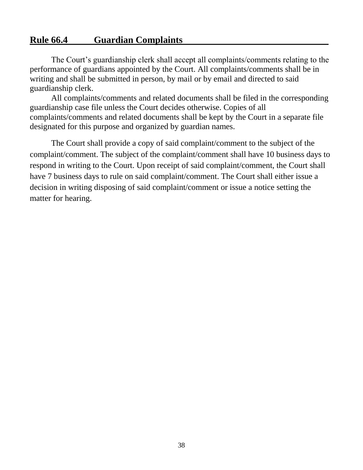# **Rule 66.4 Guardian Complaints**

The Court's guardianship clerk shall accept all complaints/comments relating to the performance of guardians appointed by the Court. All complaints/comments shall be in writing and shall be submitted in person, by mail or by email and directed to said guardianship clerk.

All complaints/comments and related documents shall be filed in the corresponding guardianship case file unless the Court decides otherwise. Copies of all complaints/comments and related documents shall be kept by the Court in a separate file designated for this purpose and organized by guardian names.

The Court shall provide a copy of said complaint/comment to the subject of the complaint/comment. The subject of the complaint/comment shall have 10 business days to respond in writing to the Court. Upon receipt of said complaint/comment, the Court shall have 7 business days to rule on said complaint/comment. The Court shall either issue a decision in writing disposing of said complaint/comment or issue a notice setting the matter for hearing.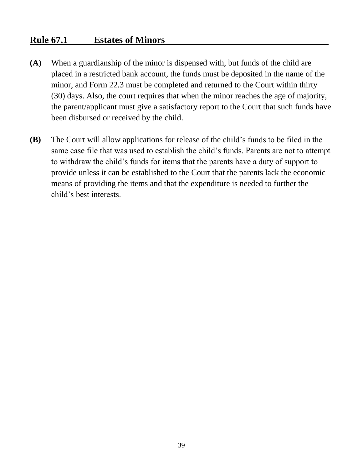# **Rule 67.1 Estates of Minors**

- **(A**) When a guardianship of the minor is dispensed with, but funds of the child are placed in a restricted bank account, the funds must be deposited in the name of the minor, and Form 22.3 must be completed and returned to the Court within thirty (30) days. Also, the court requires that when the minor reaches the age of majority, the parent/applicant must give a satisfactory report to the Court that such funds have been disbursed or received by the child.
- **(B)** The Court will allow applications for release of the child's funds to be filed in the same case file that was used to establish the child's funds. Parents are not to attempt to withdraw the child's funds for items that the parents have a duty of support to provide unless it can be established to the Court that the parents lack the economic means of providing the items and that the expenditure is needed to further the child's best interests.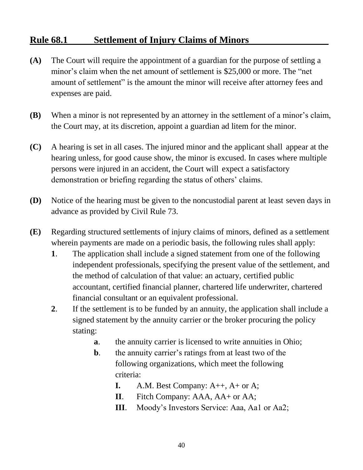# **Rule 68.1 Settlement of Injury Claims of Minors**

- **(A)** The Court will require the appointment of a guardian for the purpose of settling a minor's claim when the net amount of settlement is \$25,000 or more. The "net amount of settlement" is the amount the minor will receive after attorney fees and expenses are paid.
- **(B)** When a minor is not represented by an attorney in the settlement of a minor's claim, the Court may, at its discretion, appoint a guardian ad litem for the minor.
- **(C)** A hearing is set in all cases. The injured minor and the applicant shall appear at the hearing unless, for good cause show, the minor is excused. In cases where multiple persons were injured in an accident, the Court will expect a satisfactory demonstration or briefing regarding the status of others' claims.
- **(D)** Notice of the hearing must be given to the noncustodial parent at least seven days in advance as provided by Civil Rule 73.
- **(E)** Regarding structured settlements of injury claims of minors, defined as a settlement wherein payments are made on a periodic basis, the following rules shall apply:
	- **1**. The application shall include a signed statement from one of the following independent professionals, specifying the present value of the settlement, and the method of calculation of that value: an actuary, certified public accountant, certified financial planner, chartered life underwriter, chartered financial consultant or an equivalent professional.
	- **2**. If the settlement is to be funded by an annuity, the application shall include a signed statement by the annuity carrier or the broker procuring the policy stating:
		- **a**. the annuity carrier is licensed to write annuities in Ohio;
		- **b**. the annuity carrier's ratings from at least two of the following organizations, which meet the following criteria:
			- **I.** A.M. Best Company: A++, A+ or A;
			- **II**. Fitch Company: AAA, AA+ or AA;
			- **III.** Moody's Investors Service: Aaa, Aa1 or Aa2;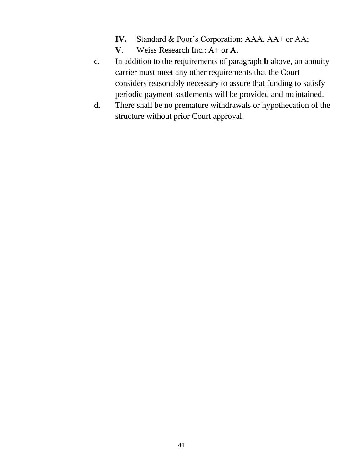- **IV.** Standard & Poor's Corporation: AAA, AA+ or AA;
- **V**. Weiss Research Inc.: A+ or A.
- **c**. In addition to the requirements of paragraph **b** above, an annuity carrier must meet any other requirements that the Court considers reasonably necessary to assure that funding to satisfy periodic payment settlements will be provided and maintained.
- **d**. There shall be no premature withdrawals or hypothecation of the structure without prior Court approval.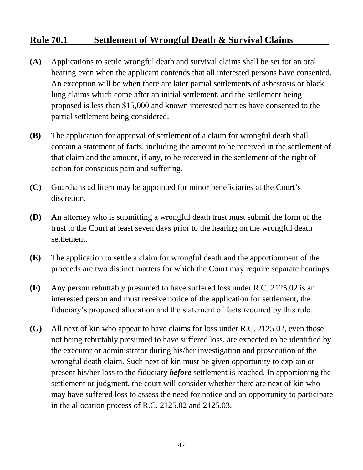# **Rule 70.1 Settlement of Wrongful Death & Survival Claims**

- **(A)** Applications to settle wrongful death and survival claims shall be set for an oral hearing even when the applicant contends that all interested persons have consented. An exception will be when there are later partial settlements of asbestosis or black lung claims which come after an initial settlement, and the settlement being proposed is less than \$15,000 and known interested parties have consented to the partial settlement being considered.
- **(B)** The application for approval of settlement of a claim for wrongful death shall contain a statement of facts, including the amount to be received in the settlement of that claim and the amount, if any, to be received in the settlement of the right of action for conscious pain and suffering.
- **(C)** Guardians ad litem may be appointed for minor beneficiaries at the Court's discretion.
- **(D)** An attorney who is submitting a wrongful death trust must submit the form of the trust to the Court at least seven days prior to the hearing on the wrongful death settlement.
- **(E)** The application to settle a claim for wrongful death and the apportionment of the proceeds are two distinct matters for which the Court may require separate hearings.
- **(F)** Any person rebuttably presumed to have suffered loss under R.C. 2125.02 is an interested person and must receive notice of the application for settlement, the fiduciary's proposed allocation and the statement of facts required by this rule.
- **(G)** All next of kin who appear to have claims for loss under R.C. 2125.02, even those not being rebuttably presumed to have suffered loss, are expected to be identified by the executor or administrator during his/her investigation and prosecution of the wrongful death claim. Such next of kin must be given opportunity to explain or present his/her loss to the fiduciary *before* settlement is reached. In apportioning the settlement or judgment, the court will consider whether there are next of kin who may have suffered loss to assess the need for notice and an opportunity to participate in the allocation process of R.C. 2125.02 and 2125.03.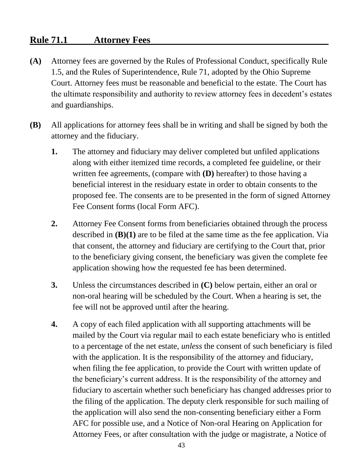# **Rule 71.1 Attorney Fees**

- **(A)** Attorney fees are governed by the Rules of Professional Conduct, specifically Rule 1.5, and the Rules of Superintendence, Rule 71, adopted by the Ohio Supreme Court. Attorney fees must be reasonable and beneficial to the estate. The Court has the ultimate responsibility and authority to review attorney fees in decedent's estates and guardianships.
- **(B)** All applications for attorney fees shall be in writing and shall be signed by both the attorney and the fiduciary.
	- **1.** The attorney and fiduciary may deliver completed but unfiled applications along with either itemized time records, a completed fee guideline, or their written fee agreements, (compare with **(D)** hereafter) to those having a beneficial interest in the residuary estate in order to obtain consents to the proposed fee. The consents are to be presented in the form of signed Attorney Fee Consent forms (local Form AFC).
	- **2.** Attorney Fee Consent forms from beneficiaries obtained through the process described in **(B)(1)** are to be filed at the same time as the fee application. Via that consent, the attorney and fiduciary are certifying to the Court that, prior to the beneficiary giving consent, the beneficiary was given the complete fee application showing how the requested fee has been determined.
	- **3.** Unless the circumstances described in **(C)** below pertain, either an oral or non-oral hearing will be scheduled by the Court. When a hearing is set, the fee will not be approved until after the hearing.
	- **4.** A copy of each filed application with all supporting attachments will be mailed by the Court via regular mail to each estate beneficiary who is entitled to a percentage of the net estate, *unless* the consent of such beneficiary is filed with the application. It is the responsibility of the attorney and fiduciary, when filing the fee application, to provide the Court with written update of the beneficiary's current address. It is the responsibility of the attorney and fiduciary to ascertain whether such beneficiary has changed addresses prior to the filing of the application. The deputy clerk responsible for such mailing of the application will also send the non-consenting beneficiary either a Form AFC for possible use, and a Notice of Non-oral Hearing on Application for Attorney Fees, or after consultation with the judge or magistrate, a Notice of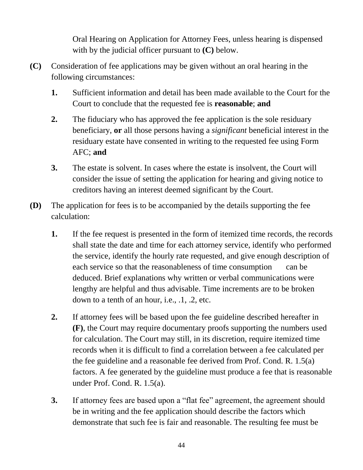Oral Hearing on Application for Attorney Fees, unless hearing is dispensed with by the judicial officer pursuant to **(C)** below.

- **(C)** Consideration of fee applications may be given without an oral hearing in the following circumstances:
	- **1.** Sufficient information and detail has been made available to the Court for the Court to conclude that the requested fee is **reasonable**; **and**
	- **2.** The fiduciary who has approved the fee application is the sole residuary beneficiary, **or** all those persons having a *significant* beneficial interest in the residuary estate have consented in writing to the requested fee using Form AFC; **and**
	- **3.** The estate is solvent. In cases where the estate is insolvent, the Court will consider the issue of setting the application for hearing and giving notice to creditors having an interest deemed significant by the Court.
- **(D)** The application for fees is to be accompanied by the details supporting the fee calculation:
	- **1.** If the fee request is presented in the form of itemized time records, the records shall state the date and time for each attorney service, identify who performed the service, identify the hourly rate requested, and give enough description of each service so that the reasonableness of time consumption can be deduced. Brief explanations why written or verbal communications were lengthy are helpful and thus advisable. Time increments are to be broken down to a tenth of an hour, i.e., .1, .2, etc.
	- **2.** If attorney fees will be based upon the fee guideline described hereafter in **(F)**, the Court may require documentary proofs supporting the numbers used for calculation. The Court may still, in its discretion, require itemized time records when it is difficult to find a correlation between a fee calculated per the fee guideline and a reasonable fee derived from Prof. Cond. R. 1.5(a) factors. A fee generated by the guideline must produce a fee that is reasonable under Prof. Cond. R. 1.5(a).
	- **3.** If attorney fees are based upon a "flat fee" agreement, the agreement should be in writing and the fee application should describe the factors which demonstrate that such fee is fair and reasonable. The resulting fee must be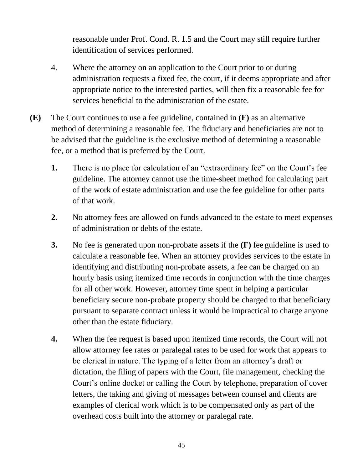reasonable under Prof. Cond. R. 1.5 and the Court may still require further identification of services performed.

- 4. Where the attorney on an application to the Court prior to or during administration requests a fixed fee, the court, if it deems appropriate and after appropriate notice to the interested parties, will then fix a reasonable fee for services beneficial to the administration of the estate.
- **(E)** The Court continues to use a fee guideline, contained in **(F)** as an alternative method of determining a reasonable fee. The fiduciary and beneficiaries are not to be advised that the guideline is the exclusive method of determining a reasonable fee, or a method that is preferred by the Court.
	- **1.** There is no place for calculation of an "extraordinary fee" on the Court's fee guideline. The attorney cannot use the time-sheet method for calculating part of the work of estate administration and use the fee guideline for other parts of that work.
	- **2.** No attorney fees are allowed on funds advanced to the estate to meet expenses of administration or debts of the estate.
	- **3.** No fee is generated upon non-probate assets if the **(F)** fee guideline is used to calculate a reasonable fee. When an attorney provides services to the estate in identifying and distributing non-probate assets, a fee can be charged on an hourly basis using itemized time records in conjunction with the time charges for all other work. However, attorney time spent in helping a particular beneficiary secure non-probate property should be charged to that beneficiary pursuant to separate contract unless it would be impractical to charge anyone other than the estate fiduciary.
	- **4.** When the fee request is based upon itemized time records, the Court will not allow attorney fee rates or paralegal rates to be used for work that appears to be clerical in nature. The typing of a letter from an attorney's draft or dictation, the filing of papers with the Court, file management, checking the Court's online docket or calling the Court by telephone, preparation of cover letters, the taking and giving of messages between counsel and clients are examples of clerical work which is to be compensated only as part of the overhead costs built into the attorney or paralegal rate.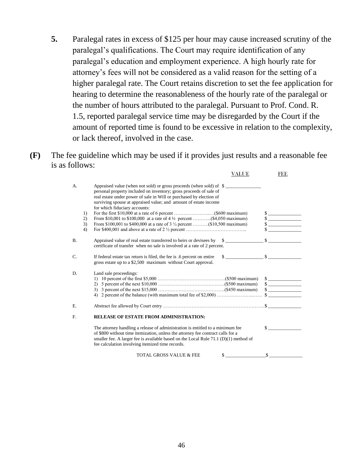- **5.** Paralegal rates in excess of \$125 per hour may cause increased scrutiny of the paralegal's qualifications. The Court may require identification of any paralegal's education and employment experience. A high hourly rate for attorney's fees will not be considered as a valid reason for the setting of a higher paralegal rate. The Court retains discretion to set the fee application for hearing to determine the reasonableness of the hourly rate of the paralegal or the number of hours attributed to the paralegal. Pursuant to Prof. Cond. R. 1.5, reported paralegal service time may be disregarded by the Court if the amount of reported time is found to be excessive in relation to the complexity, or lack thereof, involved in the case.
- **(F)** The fee guideline which may be used if it provides just results and a reasonable fee is as follows:

|                            | VALUE                                                                                                                                                                                                                                                                                                                                                                                                                                                                                            | <b>FEE</b>                 |
|----------------------------|--------------------------------------------------------------------------------------------------------------------------------------------------------------------------------------------------------------------------------------------------------------------------------------------------------------------------------------------------------------------------------------------------------------------------------------------------------------------------------------------------|----------------------------|
| А.<br>1)<br>2)<br>3)<br>4) | Appraised value (when not sold) or gross proceeds (when sold) of \$<br>personal property included on inventory; gross proceeds of sale of<br>real estate under power of sale in Will or purchased by election of<br>surviving spouse at appraised value; and amount of estate income<br>for which fiduciary accounts:<br>From \$10,001 to \$100,000 at a rate of $4\frac{1}{2}$ percent (\$4,050 maximum)<br>From \$100,001 to \$400,000 at a rate of 3 $\frac{1}{2}$ percent (\$10,500 maximum) | $\sim$<br>$\sim$<br>$\sim$ |
| B <sub>1</sub>             | Appraised value of real estate transferred to heirs or devisees by<br>$\sim$<br>certificate of transfer when no sale is involved at a rate of 2 percent.                                                                                                                                                                                                                                                                                                                                         |                            |
| C.                         | $\sim$<br>If federal estate tax return is filed, the fee is .6 percent on entire<br>gross estate up to a \$2,500 maximum without Court approval.                                                                                                                                                                                                                                                                                                                                                 | $\mathbb{S}$               |
| D.                         | Land sale proceedings:                                                                                                                                                                                                                                                                                                                                                                                                                                                                           | $\sim$<br>$\sim$           |
| E.                         |                                                                                                                                                                                                                                                                                                                                                                                                                                                                                                  |                            |
| $F_{\cdot}$                | <b>RELEASE OF ESTATE FROM ADMINISTRATION:</b>                                                                                                                                                                                                                                                                                                                                                                                                                                                    |                            |
|                            | The attorney handling a release of administration is entitled to a minimum fee<br>of \$800 without time itemization, unless the attorney fee contract calls for a<br>smaller fee. A larger fee is available based on the Local Rule $71.1$ (D)(1) method of<br>fee calculation involving itemized time records.                                                                                                                                                                                  | $\mathbf{s}$               |
|                            | <b>TOTAL GROSS VALUE &amp; FEE</b><br>\$                                                                                                                                                                                                                                                                                                                                                                                                                                                         | $\mathbf{\$}$              |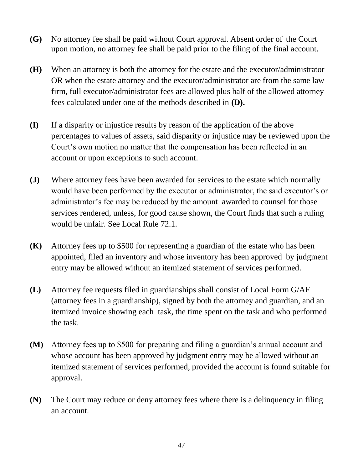- **(G)** No attorney fee shall be paid without Court approval. Absent order of the Court upon motion, no attorney fee shall be paid prior to the filing of the final account.
- **(H)** When an attorney is both the attorney for the estate and the executor/administrator OR when the estate attorney and the executor/administrator are from the same law firm, full executor/administrator fees are allowed plus half of the allowed attorney fees calculated under one of the methods described in **(D).**
- **(I)** If a disparity or injustice results by reason of the application of the above percentages to values of assets, said disparity or injustice may be reviewed upon the Court's own motion no matter that the compensation has been reflected in an account or upon exceptions to such account.
- **(J)** Where attorney fees have been awarded for services to the estate which normally would have been performed by the executor or administrator, the said executor's or administrator's fee may be reduced by the amount awarded to counsel for those services rendered, unless, for good cause shown, the Court finds that such a ruling would be unfair. See Local Rule 72.1.
- **(K)** Attorney fees up to \$500 for representing a guardian of the estate who has been appointed, filed an inventory and whose inventory has been approved by judgment entry may be allowed without an itemized statement of services performed.
- **(L)** Attorney fee requests filed in guardianships shall consist of Local Form G/AF (attorney fees in a guardianship), signed by both the attorney and guardian, and an itemized invoice showing each task, the time spent on the task and who performed the task.
- **(M)** Attorney fees up to \$500 for preparing and filing a guardian's annual account and whose account has been approved by judgment entry may be allowed without an itemized statement of services performed, provided the account is found suitable for approval.
- **(N)** The Court may reduce or deny attorney fees where there is a delinquency in filing an account.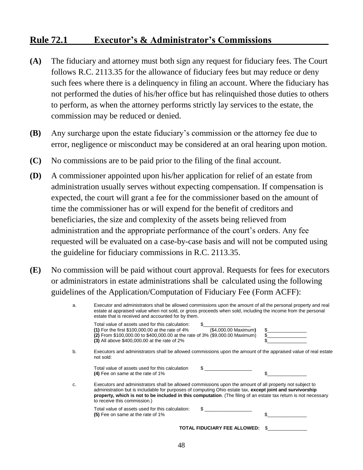#### **Rule 72.1 Executor's & Administrator's Commissions**

- **(A)** The fiduciary and attorney must both sign any request for fiduciary fees. The Court follows R.C. 2113.35 for the allowance of fiduciary fees but may reduce or deny such fees where there is a delinquency in filing an account. Where the fiduciary has not performed the duties of his/her office but has relinquished those duties to others to perform, as when the attorney performs strictly lay services to the estate, the commission may be reduced or denied.
- **(B)** Any surcharge upon the estate fiduciary's commission or the attorney fee due to error, negligence or misconduct may be considered at an oral hearing upon motion.
- **(C)** No commissions are to be paid prior to the filing of the final account.
- **(D)** A commissioner appointed upon his/her application for relief of an estate from administration usually serves without expecting compensation. If compensation is expected, the court will grant a fee for the commissioner based on the amount of time the commissioner has or will expend for the benefit of creditors and beneficiaries, the size and complexity of the assets being relieved from administration and the appropriate performance of the court's orders. Any fee requested will be evaluated on a case-by-case basis and will not be computed using the guideline for fiduciary commissions in R.C. 2113.35.
- **(E)** No commission will be paid without court approval. Requests for fees for executors or administrators in estate administrations shall be calculated using the following guidelines of the Application/Computation of Fiduciary Fee (Form ACFF):

| Executor and administrators shall be allowed commissions upon the amount of all the personal property and real<br>a.<br>estate at appraised value when not sold, or gross proceeds when sold, including the income from the personal<br>estate that is received and accounted for by them. |                                                                                                                                                                                                                                                                                                                                                                          |  |  |
|--------------------------------------------------------------------------------------------------------------------------------------------------------------------------------------------------------------------------------------------------------------------------------------------|--------------------------------------------------------------------------------------------------------------------------------------------------------------------------------------------------------------------------------------------------------------------------------------------------------------------------------------------------------------------------|--|--|
|                                                                                                                                                                                                                                                                                            | Total value of assets used for this calculation:<br>(\$4,000.00 Maximum)<br>(1) For the first $$100,000.00$ at the rate of 4%<br>(2) From \$100,000.00 to \$400,000.00 at the rate of 3% (\$9,000.00 Maximum)<br>(3) All above \$400,000.00 at the rate of 2%                                                                                                            |  |  |
| b.                                                                                                                                                                                                                                                                                         | Executors and administrators shall be allowed commissions upon the amount of the appraised value of real estate<br>not sold:                                                                                                                                                                                                                                             |  |  |
|                                                                                                                                                                                                                                                                                            | Total value of assets used for this calculation<br>(4) Fee on same at the rate of 1%                                                                                                                                                                                                                                                                                     |  |  |
| c.                                                                                                                                                                                                                                                                                         | Executors and administrators shall be allowed commissions upon the amount of all property not subject to<br>administration but is includable for purposes of computing Ohio estate tax, except joint and survivorship<br>property, which is not to be included in this computation. (The filing of an estate tax return is not necessary<br>to receive this commission.) |  |  |
|                                                                                                                                                                                                                                                                                            | Total value of assets used for this calculation:<br>(5) Fee on same at the rate of 1%                                                                                                                                                                                                                                                                                    |  |  |
|                                                                                                                                                                                                                                                                                            | TOTAL FIDUCIARY FEE ALLOWED:                                                                                                                                                                                                                                                                                                                                             |  |  |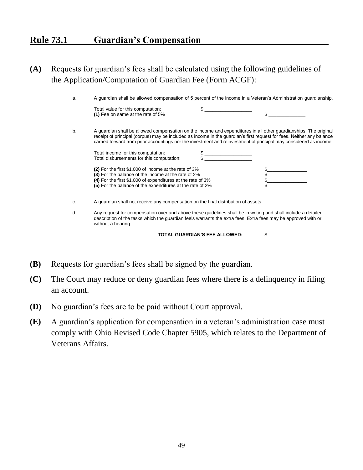# **Rule 73.1 Guardian's Compensation**

#### **(A)** Requests for guardian's fees shall be calculated using the following guidelines of the Application/Computation of Guardian Fee (Form ACGF):

| a. | A guardian shall be allowed compensation of 5 percent of the income in a Veteran's Administration guardianship.                                                                                                                                                                                                                                                |                               |    |
|----|----------------------------------------------------------------------------------------------------------------------------------------------------------------------------------------------------------------------------------------------------------------------------------------------------------------------------------------------------------------|-------------------------------|----|
|    | Total value for this computation:<br>(1) Fee on same at the rate of 5%                                                                                                                                                                                                                                                                                         |                               | \$ |
| b. | A guardian shall be allowed compensation on the income and expenditures in all other guardianships. The original<br>receipt of principal (corpus) may be included as income in the guardian's first request for fees. Neither any balance<br>carried forward from prior accountings nor the investment and reinvestment of principal may considered as income. |                               |    |
|    | Total income for this computation:<br>Total disbursements for this computation:                                                                                                                                                                                                                                                                                |                               |    |
|    | (2) For the first \$1,000 of income at the rate of 3%<br>(3) For the balance of the income at the rate of 2%<br>(4) For the first \$1,000 of expenditures at the rate of 3%<br>(5) For the balance of the expenditures at the rate of 2%                                                                                                                       |                               |    |
| C. | A guardian shall not receive any compensation on the final distribution of assets.                                                                                                                                                                                                                                                                             |                               |    |
| d. | Any request for compensation over and above these guidelines shall be in writing and shall include a detailed<br>description of the tasks which the guardian feels warrants the extra fees. Extra fees may be approved with or<br>without a hearing.                                                                                                           |                               |    |
|    |                                                                                                                                                                                                                                                                                                                                                                | TOTAL GUARDIAN'S FEE ALLOWED: | \$ |

- **(B)** Requests for guardian's fees shall be signed by the guardian.
- **(C)** The Court may reduce or deny guardian fees where there is a delinquency in filing an account.
- **(D)** No guardian's fees are to be paid without Court approval.
- **(E)** A guardian's application for compensation in a veteran's administration case must comply with Ohio Revised Code Chapter 5905, which relates to the Department of Veterans Affairs.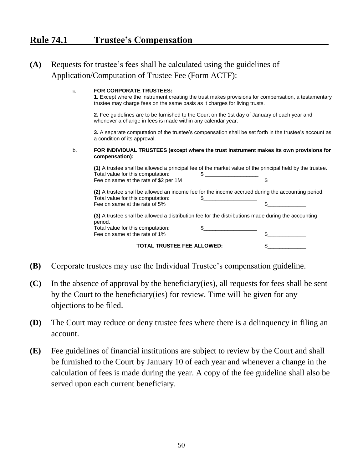# **Rule 74.1 Trustee's Compensation**

#### **(A)** Requests for trustee's fees shall be calculated using the guidelines of Application/Computation of Trustee Fee (Form ACTF):

#### a. **FOR CORPORATE TRUSTEES:**

**1.** Except where the instrument creating the trust makes provisions for compensation, a testamentary trustee may charge fees on the same basis as it charges for living trusts.

**2.** Fee guidelines are to be furnished to the Court on the 1st day of January of each year and whenever a change in fees is made within any calendar year.

**3.** A separate computation of the trustee's compensation shall be set forth in the trustee's account as a condition of its approval.

#### b. **FOR INDIVIDUAL TRUSTEES (except where the trust instrument makes its own provisions for compensation):**

**(1)** A trustee shall be allowed a principal fee of the market value of the principal held by the trustee. Total value for this computation:  $\sim$  \$ Fee on same at the rate of  $$2$  per 1M  $$$ **(2)** A trustee shall be allowed an income fee for the income accrued during the accounting period. Total value for this computation:  $\$\_$ Fee on same at the rate of 5%  $\sim$ **(3)** A trustee shall be allowed a distribution fee for the distributions made during the accounting period. Total value for this computation:  $\qquad \qquad \$ 

**TOTAL TRUSTEE FEE ALLOWED:** \$\_\_\_\_\_\_\_\_\_\_\_\_\_

Fee on same at the rate of 1%  $\sim$ 

**(B)** Corporate trustees may use the Individual Trustee's compensation guideline.

- **(C)** In the absence of approval by the beneficiary(ies), all requests for fees shall be sent by the Court to the beneficiary(ies) for review. Time will be given for any objections to be filed.
- **(D)** The Court may reduce or deny trustee fees where there is a delinquency in filing an account.
- **(E)** Fee guidelines of financial institutions are subject to review by the Court and shall be furnished to the Court by January 10 of each year and whenever a change in the calculation of fees is made during the year. A copy of the fee guideline shall also be served upon each current beneficiary.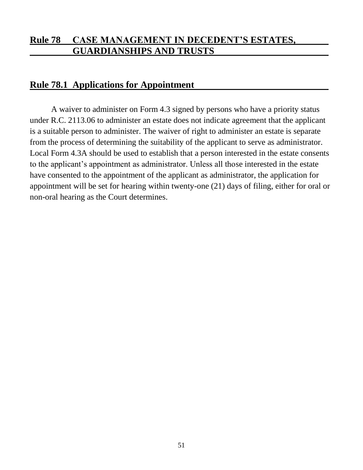# **Rule 78 CASE MANAGEMENT IN DECEDENT'S ESTATES, GUARDIANSHIPS AND TRUSTS**

#### **Rule 78.1 Applications for Appointment**

A waiver to administer on Form 4.3 signed by persons who have a priority status under R.C. 2113.06 to administer an estate does not indicate agreement that the applicant is a suitable person to administer. The waiver of right to administer an estate is separate from the process of determining the suitability of the applicant to serve as administrator. Local Form 4.3A should be used to establish that a person interested in the estate consents to the applicant's appointment as administrator. Unless all those interested in the estate have consented to the appointment of the applicant as administrator, the application for appointment will be set for hearing within twenty-one (21) days of filing, either for oral or non-oral hearing as the Court determines.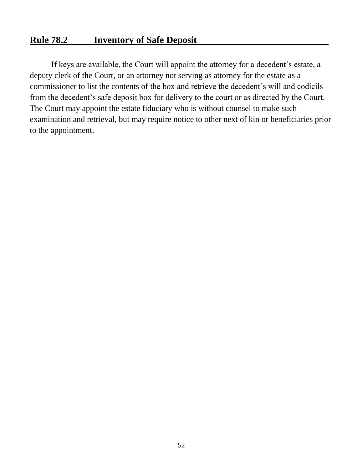#### **Rule 78.2 Inventory of Safe Deposit**

If keys are available, the Court will appoint the attorney for a decedent's estate, a deputy clerk of the Court, or an attorney not serving as attorney for the estate as a commissioner to list the contents of the box and retrieve the decedent's will and codicils from the decedent's safe deposit box for delivery to the court or as directed by the Court. The Court may appoint the estate fiduciary who is without counsel to make such examination and retrieval, but may require notice to other next of kin or beneficiaries prior to the appointment.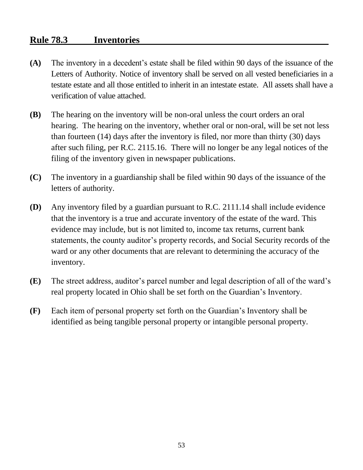# **Rule 78.3 Inventories**

- **(A)** The inventory in a decedent's estate shall be filed within 90 days of the issuance of the Letters of Authority. Notice of inventory shall be served on all vested beneficiaries in a testate estate and all those entitled to inherit in an intestate estate. All assets shall have a verification of value attached.
- **(B)** The hearing on the inventory will be non-oral unless the court orders an oral hearing. The hearing on the inventory, whether oral or non-oral, will be set not less than fourteen (14) days after the inventory is filed, nor more than thirty (30) days after such filing, per R.C. 2115.16. There will no longer be any legal notices of the filing of the inventory given in newspaper publications.
- **(C)** The inventory in a guardianship shall be filed within 90 days of the issuance of the letters of authority.
- **(D)** Any inventory filed by a guardian pursuant to R.C. 2111.14 shall include evidence that the inventory is a true and accurate inventory of the estate of the ward. This evidence may include, but is not limited to, income tax returns, current bank statements, the county auditor's property records, and Social Security records of the ward or any other documents that are relevant to determining the accuracy of the inventory.
- **(E)** The street address, auditor's parcel number and legal description of all of the ward's real property located in Ohio shall be set forth on the Guardian's Inventory.
- **(F)** Each item of personal property set forth on the Guardian's Inventory shall be identified as being tangible personal property or intangible personal property.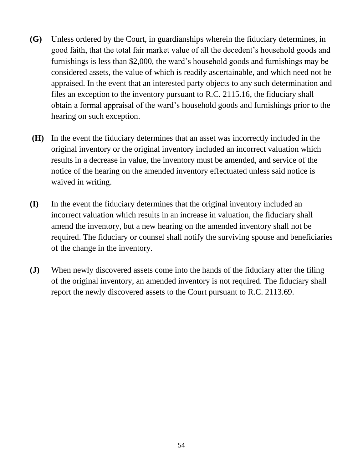- **(G)** Unless ordered by the Court, in guardianships wherein the fiduciary determines, in good faith, that the total fair market value of all the decedent's household goods and furnishings is less than \$2,000, the ward's household goods and furnishings may be considered assets, the value of which is readily ascertainable, and which need not be appraised. In the event that an interested party objects to any such determination and files an exception to the inventory pursuant to R.C. 2115.16, the fiduciary shall obtain a formal appraisal of the ward's household goods and furnishings prior to the hearing on such exception.
- **(H)** In the event the fiduciary determines that an asset was incorrectly included in the original inventory or the original inventory included an incorrect valuation which results in a decrease in value, the inventory must be amended, and service of the notice of the hearing on the amended inventory effectuated unless said notice is waived in writing.
- **(I)** In the event the fiduciary determines that the original inventory included an incorrect valuation which results in an increase in valuation, the fiduciary shall amend the inventory, but a new hearing on the amended inventory shall not be required. The fiduciary or counsel shall notify the surviving spouse and beneficiaries of the change in the inventory.
- **(J)** When newly discovered assets come into the hands of the fiduciary after the filing of the original inventory, an amended inventory is not required. The fiduciary shall report the newly discovered assets to the Court pursuant to R.C. 2113.69.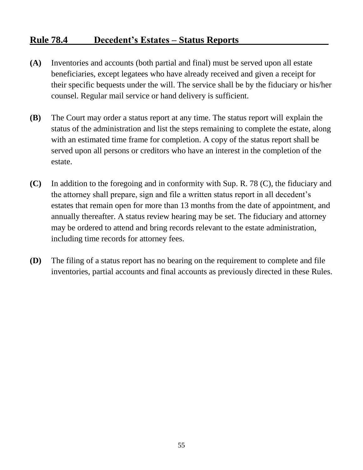# **Rule 78.4 Decedent's Estates – Status Reports**

- **(A)** Inventories and accounts (both partial and final) must be served upon all estate beneficiaries, except legatees who have already received and given a receipt for their specific bequests under the will. The service shall be by the fiduciary or his/her counsel. Regular mail service or hand delivery is sufficient.
- **(B)** The Court may order a status report at any time. The status report will explain the status of the administration and list the steps remaining to complete the estate, along with an estimated time frame for completion. A copy of the status report shall be served upon all persons or creditors who have an interest in the completion of the estate.
- **(C)** In addition to the foregoing and in conformity with Sup. R. 78 (C), the fiduciary and the attorney shall prepare, sign and file a written status report in all decedent's estates that remain open for more than 13 months from the date of appointment, and annually thereafter. A status review hearing may be set. The fiduciary and attorney may be ordered to attend and bring records relevant to the estate administration, including time records for attorney fees.
- **(D)** The filing of a status report has no bearing on the requirement to complete and file inventories, partial accounts and final accounts as previously directed in these Rules.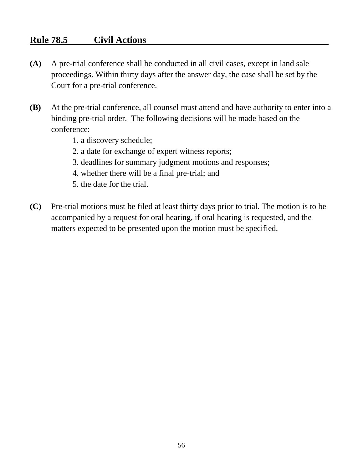# **Rule 78.5 Civil Actions**

- **(A)** A pre-trial conference shall be conducted in all civil cases, except in land sale proceedings. Within thirty days after the answer day, the case shall be set by the Court for a pre-trial conference.
- **(B)** At the pre-trial conference, all counsel must attend and have authority to enter into a binding pre-trial order. The following decisions will be made based on the conference:
	- 1. a discovery schedule;
	- 2. a date for exchange of expert witness reports;
	- 3. deadlines for summary judgment motions and responses;
	- 4. whether there will be a final pre-trial; and
	- 5. the date for the trial.
- **(C)** Pre-trial motions must be filed at least thirty days prior to trial. The motion is to be accompanied by a request for oral hearing, if oral hearing is requested, and the matters expected to be presented upon the motion must be specified.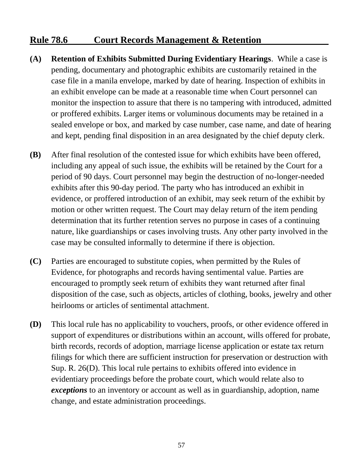# **Rule 78.6 Court Records Management & Retention**

- **(A) Retention of Exhibits Submitted During Evidentiary Hearings**. While a case is pending, documentary and photographic exhibits are customarily retained in the case file in a manila envelope, marked by date of hearing. Inspection of exhibits in an exhibit envelope can be made at a reasonable time when Court personnel can monitor the inspection to assure that there is no tampering with introduced, admitted or proffered exhibits. Larger items or voluminous documents may be retained in a sealed envelope or box, and marked by case number, case name, and date of hearing and kept, pending final disposition in an area designated by the chief deputy clerk.
- **(B)** After final resolution of the contested issue for which exhibits have been offered, including any appeal of such issue, the exhibits will be retained by the Court for a period of 90 days. Court personnel may begin the destruction of no-longer-needed exhibits after this 90-day period. The party who has introduced an exhibit in evidence, or proffered introduction of an exhibit, may seek return of the exhibit by motion or other written request. The Court may delay return of the item pending determination that its further retention serves no purpose in cases of a continuing nature, like guardianships or cases involving trusts. Any other party involved in the case may be consulted informally to determine if there is objection.
- **(C)** Parties are encouraged to substitute copies, when permitted by the Rules of Evidence, for photographs and records having sentimental value. Parties are encouraged to promptly seek return of exhibits they want returned after final disposition of the case, such as objects, articles of clothing, books, jewelry and other heirlooms or articles of sentimental attachment.
- **(D)** This local rule has no applicability to vouchers, proofs, or other evidence offered in support of expenditures or distributions within an account, wills offered for probate, birth records, records of adoption, marriage license application or estate tax return filings for which there are sufficient instruction for preservation or destruction with Sup. R. 26(D). This local rule pertains to exhibits offered into evidence in evidentiary proceedings before the probate court, which would relate also to *exceptions* to an inventory or account as well as in guardianship, adoption, name change, and estate administration proceedings.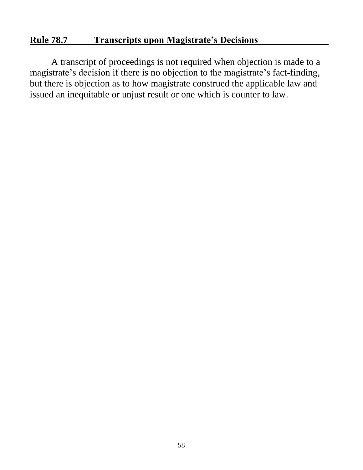# **Rule 78.7 Transcripts upon Magistrate's Decisions**

A transcript of proceedings is not required when objection is made to a magistrate's decision if there is no objection to the magistrate's fact-finding, but there is objection as to how magistrate construed the applicable law and issued an inequitable or unjust result or one which is counter to law.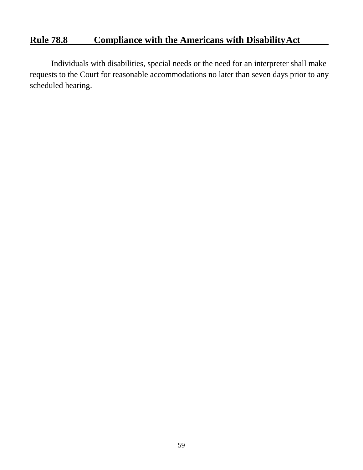# **Rule 78.8 Compliance with the Americans with DisabilityAct**

Individuals with disabilities, special needs or the need for an interpreter shall make requests to the Court for reasonable accommodations no later than seven days prior to any scheduled hearing.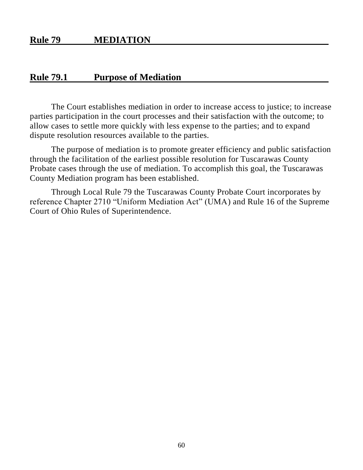#### **Rule 79 MEDIATION**

#### **Rule 79.1 Purpose of Mediation**

The Court establishes mediation in order to increase access to justice; to increase parties participation in the court processes and their satisfaction with the outcome; to allow cases to settle more quickly with less expense to the parties; and to expand dispute resolution resources available to the parties.

The purpose of mediation is to promote greater efficiency and public satisfaction through the facilitation of the earliest possible resolution for Tuscarawas County Probate cases through the use of mediation. To accomplish this goal, the Tuscarawas County Mediation program has been established.

Through Local Rule 79 the Tuscarawas County Probate Court incorporates by reference Chapter 2710 "Uniform Mediation Act" (UMA) and Rule 16 of the Supreme Court of Ohio Rules of Superintendence.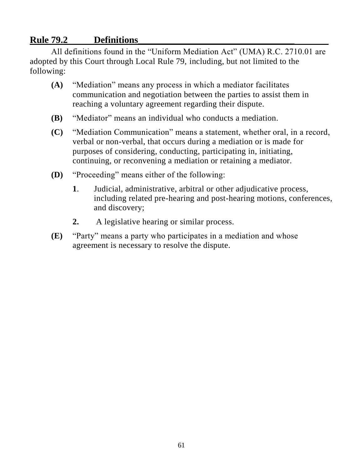# **Rule 79.2 Definitions\_\_\_\_\_\_\_\_\_\_\_\_\_\_\_\_\_\_\_\_\_\_\_\_\_\_\_\_\_\_\_\_\_**

All definitions found in the "Uniform Mediation Act" (UMA) R.C. 2710.01 are adopted by this Court through Local Rule 79, including, but not limited to the following:

- **(A)** "Mediation" means any process in which a mediator facilitates communication and negotiation between the parties to assist them in reaching a voluntary agreement regarding their dispute.
- **(B)** "Mediator" means an individual who conducts a mediation.
- **(C)** "Mediation Communication" means a statement, whether oral, in a record, verbal or non-verbal, that occurs during a mediation or is made for purposes of considering, conducting, participating in, initiating, continuing, or reconvening a mediation or retaining a mediator.
- **(D)** "Proceeding" means either of the following:
	- **1**. Judicial, administrative, arbitral or other adjudicative process, including related pre-hearing and post-hearing motions, conferences, and discovery;
	- **2.** A legislative hearing or similar process.
- **(E)** "Party" means a party who participates in a mediation and whose agreement is necessary to resolve the dispute.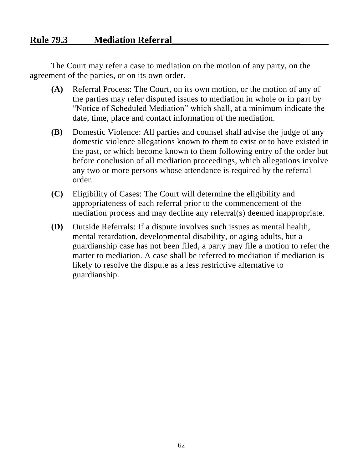# **Rule 79.3 Mediation Referral\_\_\_\_\_\_\_\_\_\_\_\_\_\_\_\_\_\_\_\_\_\_\_\_\_\_\_**

The Court may refer a case to mediation on the motion of any party, on the agreement of the parties, or on its own order.

- **(A)** Referral Process: The Court, on its own motion, or the motion of any of the parties may refer disputed issues to mediation in whole or in part by "Notice of Scheduled Mediation" which shall, at a minimum indicate the date, time, place and contact information of the mediation.
- **(B)** Domestic Violence: All parties and counsel shall advise the judge of any domestic violence allegations known to them to exist or to have existed in the past, or which become known to them following entry of the order but before conclusion of all mediation proceedings, which allegations involve any two or more persons whose attendance is required by the referral order.
- **(C)** Eligibility of Cases: The Court will determine the eligibility and appropriateness of each referral prior to the commencement of the mediation process and may decline any referral(s) deemed inappropriate.
- **(D)** Outside Referrals: If a dispute involves such issues as mental health, mental retardation, developmental disability, or aging adults, but a guardianship case has not been filed, a party may file a motion to refer the matter to mediation. A case shall be referred to mediation if mediation is likely to resolve the dispute as a less restrictive alternative to guardianship.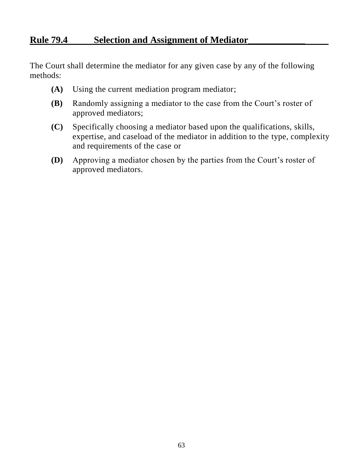# **Rule 79.4 Selection and Assignment of Mediator\_\_\_\_\_\_\_\_\_\_\_\_**

The Court shall determine the mediator for any given case by any of the following methods:

- **(A)** Using the current mediation program mediator;
- **(B)** Randomly assigning a mediator to the case from the Court's roster of approved mediators;
- **(C)** Specifically choosing a mediator based upon the qualifications, skills, expertise, and caseload of the mediator in addition to the type, complexity and requirements of the case or
- **(D)** Approving a mediator chosen by the parties from the Court's roster of approved mediators.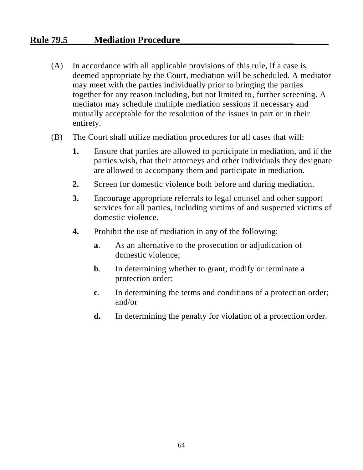## **Rule 79.5 Mediation Procedure\_\_\_\_\_\_\_\_\_\_\_\_\_\_\_\_\_\_\_\_\_\_\_\_**

- (A) In accordance with all applicable provisions of this rule, if a case is deemed appropriate by the Court, mediation will be scheduled. A mediator may meet with the parties individually prior to bringing the parties together for any reason including, but not limited to, further screening. A mediator may schedule multiple mediation sessions if necessary and mutually acceptable for the resolution of the issues in part or in their entirety.
- (B) The Court shall utilize mediation procedures for all cases that will:
	- **1.** Ensure that parties are allowed to participate in mediation, and if the parties wish, that their attorneys and other individuals they designate are allowed to accompany them and participate in mediation.
	- **2.** Screen for domestic violence both before and during mediation.
	- **3.** Encourage appropriate referrals to legal counsel and other support services for all parties, including victims of and suspected victims of domestic violence.
	- **4.** Prohibit the use of mediation in any of the following:
		- **a**. As an alternative to the prosecution or adjudication of domestic violence;
		- **b**. In determining whether to grant, modify or terminate a protection order;
		- **c**. In determining the terms and conditions of a protection order; and/or
		- **d.** In determining the penalty for violation of a protection order.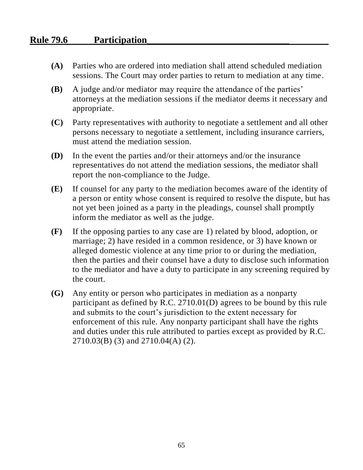# **Rule 79.6 Participation\_\_\_\_\_\_\_\_\_\_\_\_\_\_\_\_\_\_\_\_\_\_\_\_\_\_\_\_\_\_**

- **(A)** Parties who are ordered into mediation shall attend scheduled mediation sessions. The Court may order parties to return to mediation at any time.
- **(B)** A judge and/or mediator may require the attendance of the parties' attorneys at the mediation sessions if the mediator deems it necessary and appropriate.
- **(C)** Party representatives with authority to negotiate a settlement and all other persons necessary to negotiate a settlement, including insurance carriers, must attend the mediation session.
- **(D)** In the event the parties and/or their attorneys and/or the insurance representatives do not attend the mediation sessions, the mediator shall report the non-compliance to the Judge.
- **(E)** If counsel for any party to the mediation becomes aware of the identity of a person or entity whose consent is required to resolve the dispute, but has not yet been joined as a party in the pleadings, counsel shall promptly inform the mediator as well as the judge.
- **(F)** If the opposing parties to any case are 1) related by blood, adoption, or marriage; 2) have resided in a common residence, or 3) have known or alleged domestic violence at any time prior to or during the mediation, then the parties and their counsel have a duty to disclose such information to the mediator and have a duty to participate in any screening required by the court.
- **(G)** Any entity or person who participates in mediation as a nonparty participant as defined by R.C. 2710.01(D) agrees to be bound by this rule and submits to the court's jurisdiction to the extent necessary for enforcement of this rule. Any nonparty participant shall have the rights and duties under this rule attributed to parties except as provided by R.C. 2710.03(B) (3) and 2710.04(A) (2).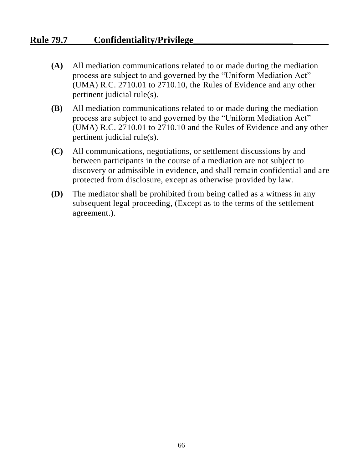# **Rule 79.7 Confidentiality/Privilege\_\_\_\_\_\_\_\_\_\_\_\_\_\_\_\_\_\_\_\_\_**

- **(A)** All mediation communications related to or made during the mediation process are subject to and governed by the "Uniform Mediation Act" (UMA) R.C. 2710.01 to 2710.10, the Rules of Evidence and any other pertinent judicial rule(s).
- **(B)** All mediation communications related to or made during the mediation process are subject to and governed by the "Uniform Mediation Act" (UMA) R.C. 2710.01 to 2710.10 and the Rules of Evidence and any other pertinent judicial rule(s).
- **(C)** All communications, negotiations, or settlement discussions by and between participants in the course of a mediation are not subject to discovery or admissible in evidence, and shall remain confidential and are protected from disclosure, except as otherwise provided by law.
- **(D)** The mediator shall be prohibited from being called as a witness in any subsequent legal proceeding, (Except as to the terms of the settlement agreement.).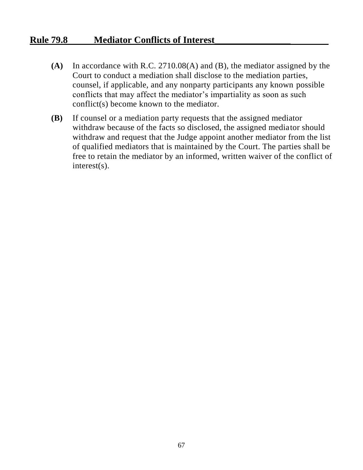# **Rule 79.8 Mediator Conflicts of Interest\_\_\_\_\_\_\_\_\_\_\_\_\_\_\_\_**

- **(A)** In accordance with R.C. 2710.08(A) and (B), the mediator assigned by the Court to conduct a mediation shall disclose to the mediation parties, counsel, if applicable, and any nonparty participants any known possible conflicts that may affect the mediator's impartiality as soon as such conflict(s) become known to the mediator.
- **(B)** If counsel or a mediation party requests that the assigned mediator withdraw because of the facts so disclosed, the assigned mediator should withdraw and request that the Judge appoint another mediator from the list of qualified mediators that is maintained by the Court. The parties shall be free to retain the mediator by an informed, written waiver of the conflict of interest(s).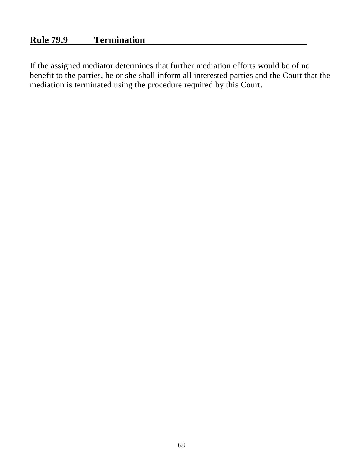# **Rule 79.9 Termination\_\_\_\_\_\_\_\_\_\_\_\_\_\_\_\_\_\_\_\_\_\_\_\_\_\_\_\_\_**

If the assigned mediator determines that further mediation efforts would be of no benefit to the parties, he or she shall inform all interested parties and the Court that the mediation is terminated using the procedure required by this Court.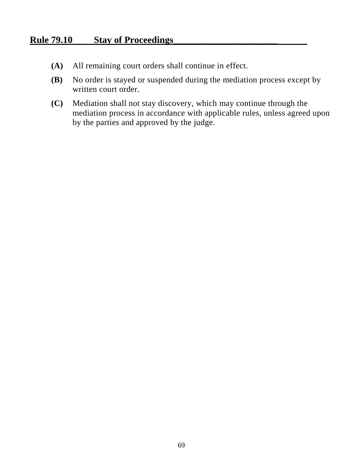#### **Rule 79.10 Stay of Proceedings\_\_\_\_\_\_\_\_\_\_\_\_\_\_\_\_\_\_\_\_\_\_**

- **(A)** All remaining court orders shall continue in effect.
- **(B)** No order is stayed or suspended during the mediation process except by written court order.
- **(C)** Mediation shall not stay discovery, which may continue through the mediation process in accordance with applicable rules, unless agreed upon by the parties and approved by the judge.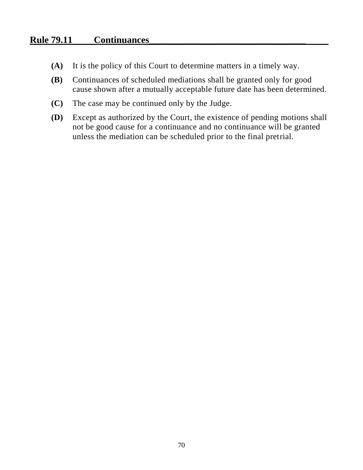## **Rule 79.11 Continuances\_\_\_\_\_\_\_\_\_\_\_\_\_\_\_\_\_\_\_\_\_\_\_\_\_\_\_\_\_\_\_\_\_**

- **(A)** It is the policy of this Court to determine matters in a timely way.
- **(B)** Continuances of scheduled mediations shall be granted only for good cause shown after a mutually acceptable future date has been determined.
- **(C)** The case may be continued only by the Judge.
- **(D)** Except as authorized by the Court, the existence of pending motions shall not be good cause for a continuance and no continuance will be granted unless the mediation can be scheduled prior to the final pretrial.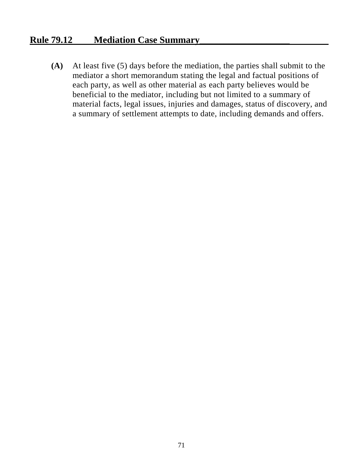# **Rule 79.12 Mediation Case Summary\_\_\_\_\_\_\_\_\_\_\_\_\_\_\_\_\_\_\_**

**(A)** At least five (5) days before the mediation, the parties shall submit to the mediator a short memorandum stating the legal and factual positions of each party, as well as other material as each party believes would be beneficial to the mediator, including but not limited to a summary of material facts, legal issues, injuries and damages, status of discovery, and a summary of settlement attempts to date, including demands and offers.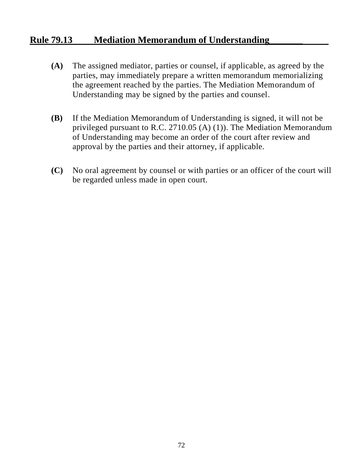### **Rule 79.13 Mediation Memorandum of Understanding\_\_\_\_\_\_\_**

- **(A)** The assigned mediator, parties or counsel, if applicable, as agreed by the parties, may immediately prepare a written memorandum memorializing the agreement reached by the parties. The Mediation Memorandum of Understanding may be signed by the parties and counsel.
- **(B)** If the Mediation Memorandum of Understanding is signed, it will not be privileged pursuant to R.C. 2710.05 (A) (1)). The Mediation Memorandum of Understanding may become an order of the court after review and approval by the parties and their attorney, if applicable.
- **(C)** No oral agreement by counsel or with parties or an officer of the court will be regarded unless made in open court.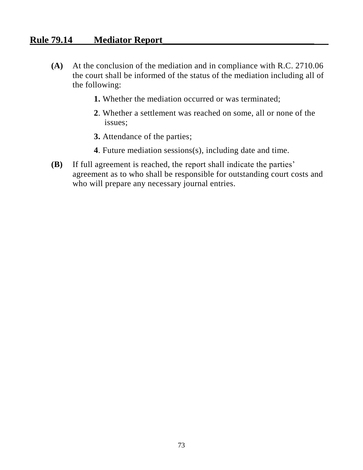## **Rule 79.14 Mediator Report\_\_\_\_\_\_\_\_\_\_\_\_\_\_\_\_\_\_\_\_\_\_\_\_\_\_\_\_\_\_\_\_**

- **(A)** At the conclusion of the mediation and in compliance with R.C. 2710.06 the court shall be informed of the status of the mediation including all of the following:
	- **1.** Whether the mediation occurred or was terminated;
	- **2**. Whether a settlement was reached on some, all or none of the issues;
	- **3.** Attendance of the parties;
	- **4**. Future mediation sessions(s), including date and time.
- **(B)** If full agreement is reached, the report shall indicate the parties' agreement as to who shall be responsible for outstanding court costs and who will prepare any necessary journal entries.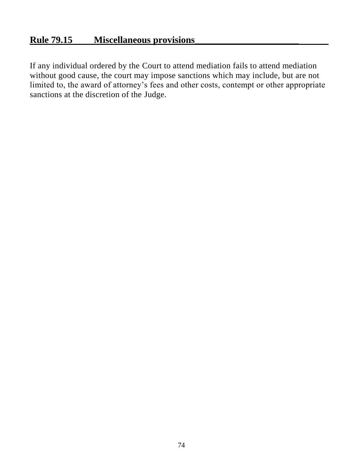# **Rule 79.15 Miscellaneous provisions\_\_\_\_\_\_\_\_\_\_\_\_\_\_\_\_\_\_\_\_\_\_**

If any individual ordered by the Court to attend mediation fails to attend mediation without good cause, the court may impose sanctions which may include, but are not limited to, the award of attorney's fees and other costs, contempt or other appropriate sanctions at the discretion of the Judge.